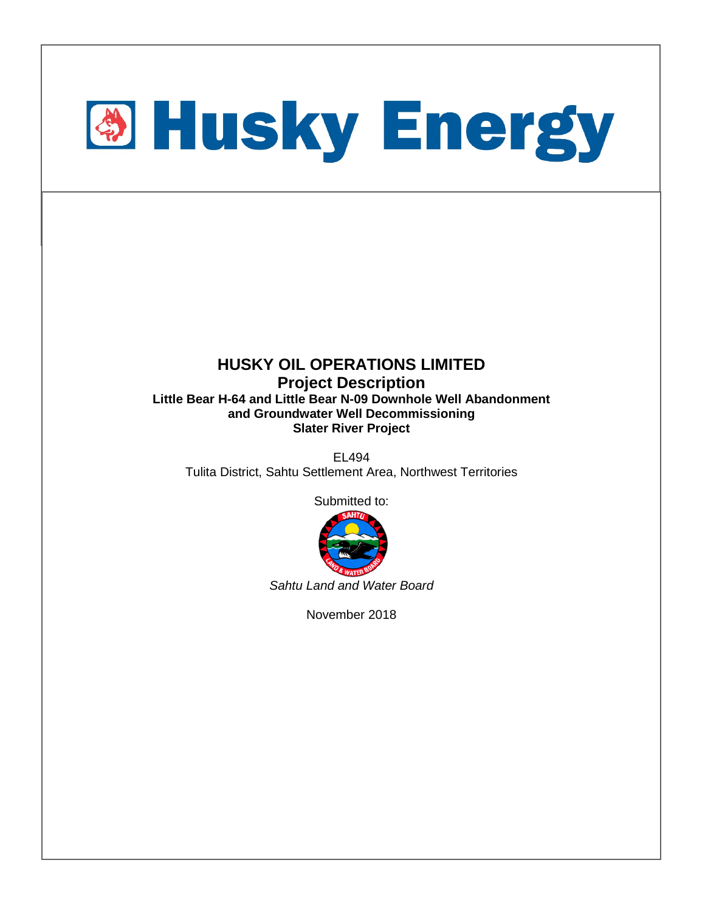

#### **HUSKY OIL OPERATIONS LIMITED Project Description Little Bear H-64 and Little Bear N-09 Downhole Well Abandonment and Groundwater Well Decommissioning Slater River Project**

EL494 Tulita District, Sahtu Settlement Area, Northwest Territories

Submitted to:



*Sahtu Land and Water Board*

November 2018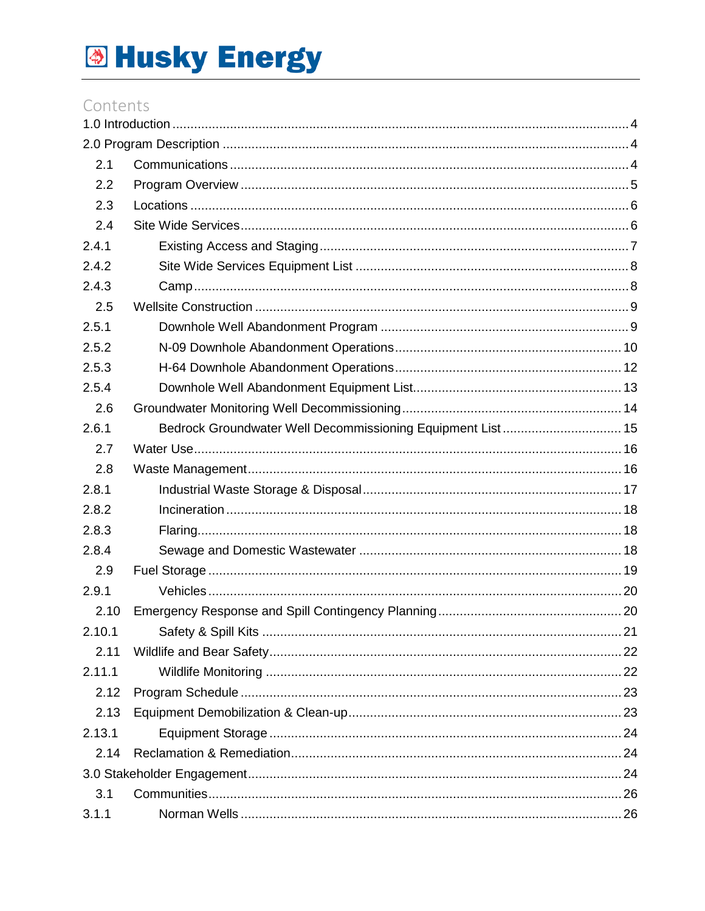### Contents

| 2.1    |                                                            |  |
|--------|------------------------------------------------------------|--|
| 2.2    |                                                            |  |
| 2.3    |                                                            |  |
| 2.4    |                                                            |  |
| 2.4.1  |                                                            |  |
| 2.4.2  |                                                            |  |
| 2.4.3  |                                                            |  |
| 2.5    |                                                            |  |
| 2.5.1  |                                                            |  |
| 2.5.2  |                                                            |  |
| 2.5.3  |                                                            |  |
| 2.5.4  |                                                            |  |
| 2.6    |                                                            |  |
| 2.6.1  | Bedrock Groundwater Well Decommissioning Equipment List 15 |  |
| 2.7    |                                                            |  |
| 2.8    |                                                            |  |
| 2.8.1  |                                                            |  |
| 2.8.2  |                                                            |  |
| 2.8.3  |                                                            |  |
| 2.8.4  |                                                            |  |
| 2.9    |                                                            |  |
| 2.9.1  |                                                            |  |
| 2.10   |                                                            |  |
| 2.10.1 |                                                            |  |
| 2.11   |                                                            |  |
| 2.11.1 |                                                            |  |
| 2.12   |                                                            |  |
| 2.13   |                                                            |  |
| 2.13.1 |                                                            |  |
| 2.14   |                                                            |  |
|        |                                                            |  |
| 3.1    |                                                            |  |
| 3.1.1  |                                                            |  |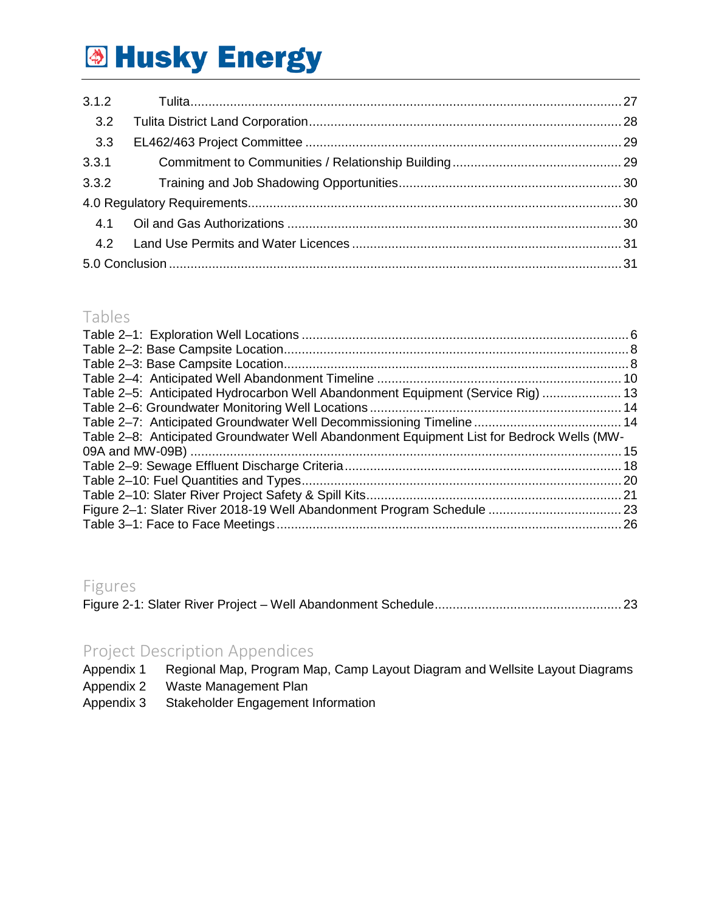| 3.2   |  |
|-------|--|
| 3.3   |  |
| 3.3.1 |  |
|       |  |
|       |  |
|       |  |
|       |  |
|       |  |

### Tables

| Table 2-5: Anticipated Hydrocarbon Well Abandonment Equipment (Service Rig)  13           |  |
|-------------------------------------------------------------------------------------------|--|
|                                                                                           |  |
|                                                                                           |  |
| Table 2-8: Anticipated Groundwater Well Abandonment Equipment List for Bedrock Wells (MW- |  |
|                                                                                           |  |
|                                                                                           |  |
|                                                                                           |  |
|                                                                                           |  |
|                                                                                           |  |
|                                                                                           |  |
|                                                                                           |  |

### Figures

|--|--|

## Project Description Appendices<br>Appendix 1 Regional Map, Program Ma

Regional Map, Program Map, Camp Layout Diagram and Wellsite Layout Diagrams

- Appendix 2 Waste Management Plan
- Appendix 3 Stakeholder Engagement Information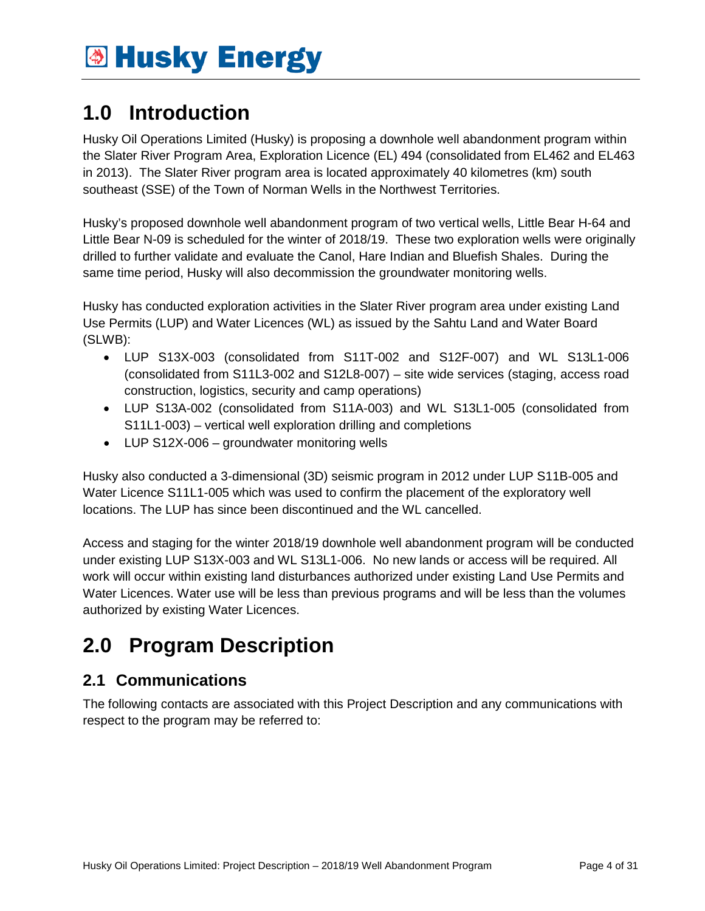### <span id="page-3-0"></span>**1.0 Introduction**

Husky Oil Operations Limited (Husky) is proposing a downhole well abandonment program within the Slater River Program Area, Exploration Licence (EL) 494 (consolidated from EL462 and EL463 in 2013). The Slater River program area is located approximately 40 kilometres (km) south southeast (SSE) of the Town of Norman Wells in the Northwest Territories.

Husky's proposed downhole well abandonment program of two vertical wells, Little Bear H-64 and Little Bear N-09 is scheduled for the winter of 2018/19. These two exploration wells were originally drilled to further validate and evaluate the Canol, Hare Indian and Bluefish Shales. During the same time period, Husky will also decommission the groundwater monitoring wells.

Husky has conducted exploration activities in the Slater River program area under existing Land Use Permits (LUP) and Water Licences (WL) as issued by the Sahtu Land and Water Board (SLWB):

- LUP S13X-003 (consolidated from S11T-002 and S12F-007) and WL S13L1-006 (consolidated from S11L3-002 and S12L8-007) – site wide services (staging, access road construction, logistics, security and camp operations)
- LUP S13A-002 (consolidated from S11A-003) and WL S13L1-005 (consolidated from S11L1-003) – vertical well exploration drilling and completions
- LUP S12X-006 groundwater monitoring wells

Husky also conducted a 3-dimensional (3D) seismic program in 2012 under LUP S11B-005 and Water Licence S11L1-005 which was used to confirm the placement of the exploratory well locations. The LUP has since been discontinued and the WL cancelled.

Access and staging for the winter 2018/19 downhole well abandonment program will be conducted under existing LUP S13X-003 and WL S13L1-006. No new lands or access will be required. All work will occur within existing land disturbances authorized under existing Land Use Permits and Water Licences. Water use will be less than previous programs and will be less than the volumes authorized by existing Water Licences.

## <span id="page-3-1"></span>**2.0 Program Description**

### <span id="page-3-2"></span>**2.1 Communications**

The following contacts are associated with this Project Description and any communications with respect to the program may be referred to: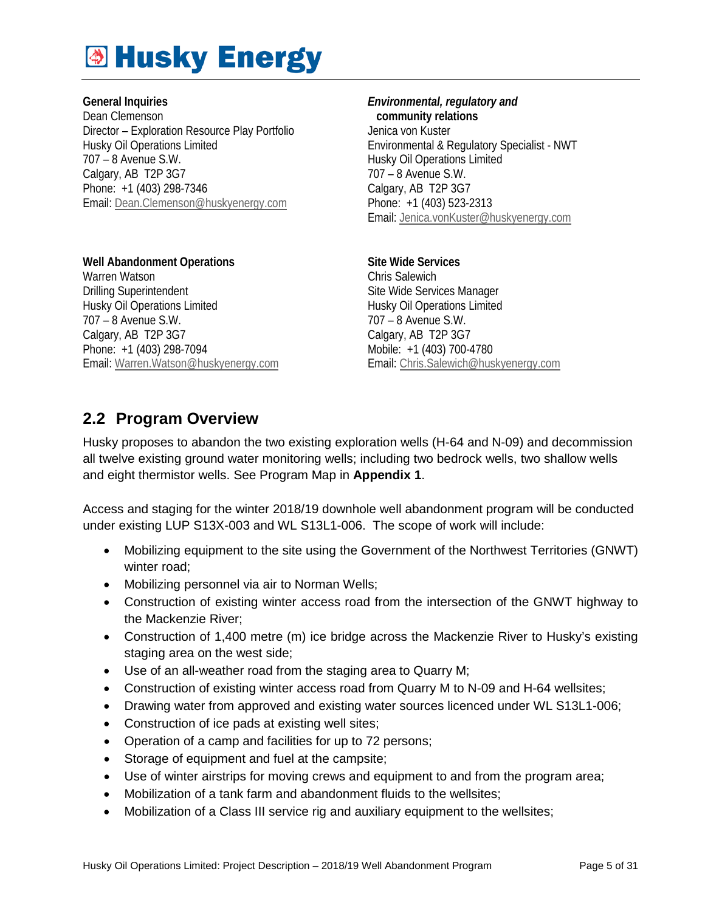**General Inquiries** Dean Clemenson Director – Exploration Resource Play Portfolio Husky Oil Operations Limited 707 – 8 Avenue S.W. Calgary, AB T2P 3G7 Phone: +1 (403) 298-7346 Email[: Dean.Clemenson@huskyenergy.com](mailto:Dean.Clemenson@huskyenergy.com)

*Environmental, regulatory and*   **community relations** Jenica von Kuster Environmental & Regulatory Specialist - NWT Husky Oil Operations Limited 707 – 8 Avenue S.W. Calgary, AB T2P 3G7 Phone: +1 (403) 523-2313 Email: [Jenica.vonKuster@huskyenergy.com](mailto:Jenica.vonKuster@huskyenergy.com) 

**Site Wide Services** Chris Salewich Site Wide Services Manager Husky Oil Operations Limited 707 – 8 Avenue S.W. Calgary, AB T2P 3G7 Mobile: +1 (403) 700-4780 Email: [Chris.Salewich@huskyenergy.com](mailto:Chris.Salewich@huskyenergy.com)

### <span id="page-4-0"></span>**2.2 Program Overview**

Email[: Warren.Watson@huskyenergy.com](mailto:Warren.Watson@huskyenergy.com)

**Well Abandonment Operations**

Warren Watson Drilling Superintendent Husky Oil Operations Limited

707 – 8 Avenue S.W. Calgary, AB T2P 3G7 Phone: +1 (403) 298-7094

Husky proposes to abandon the two existing exploration wells (H-64 and N-09) and decommission all twelve existing ground water monitoring wells; including two bedrock wells, two shallow wells and eight thermistor wells. See Program Map in **Appendix 1**.

Access and staging for the winter 2018/19 downhole well abandonment program will be conducted under existing LUP S13X-003 and WL S13L1-006. The scope of work will include:

- Mobilizing equipment to the site using the Government of the Northwest Territories (GNWT) winter road;
- Mobilizing personnel via air to Norman Wells;
- Construction of existing winter access road from the intersection of the GNWT highway to the Mackenzie River;
- Construction of 1,400 metre (m) ice bridge across the Mackenzie River to Husky's existing staging area on the west side;
- Use of an all-weather road from the staging area to Quarry M;
- Construction of existing winter access road from Quarry M to N-09 and H-64 wellsites;
- Drawing water from approved and existing water sources licenced under WL S13L1-006;
- Construction of ice pads at existing well sites;
- Operation of a camp and facilities for up to 72 persons;
- Storage of equipment and fuel at the campsite;
- Use of winter airstrips for moving crews and equipment to and from the program area;
- Mobilization of a tank farm and abandonment fluids to the wellsites;
- Mobilization of a Class III service rig and auxiliary equipment to the wellsites;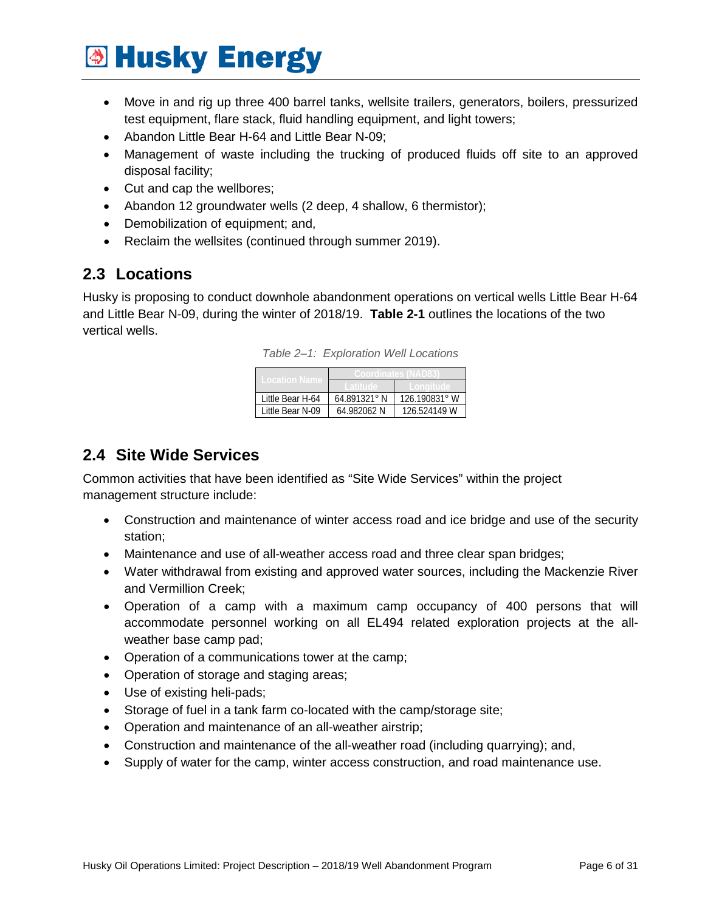- Move in and rig up three 400 barrel tanks, wellsite trailers, generators, boilers, pressurized test equipment, flare stack, fluid handling equipment, and light towers;
- Abandon Little Bear H-64 and Little Bear N-09;
- Management of waste including the trucking of produced fluids off site to an approved disposal facility;
- Cut and cap the wellbores;
- Abandon 12 groundwater wells (2 deep, 4 shallow, 6 thermistor);
- Demobilization of equipment; and,
- Reclaim the wellsites (continued through summer 2019).

### <span id="page-5-0"></span>**2.3 Locations**

<span id="page-5-2"></span>Husky is proposing to conduct downhole abandonment operations on vertical wells Little Bear H-64 and Little Bear N-09, during the winter of 2018/19. **Table 2-1** outlines the locations of the two vertical wells.

|  | Table 2-1: Exploration Well Locations |
|--|---------------------------------------|
|  |                                       |

| Little Bear H-64 | 64.891321° N | 126.190831° W |  |
|------------------|--------------|---------------|--|
| Little Bear N-09 | 64.982062 N  | 126.524149 W  |  |

### <span id="page-5-1"></span>**2.4 Site Wide Services**

Common activities that have been identified as "Site Wide Services" within the project management structure include:

- Construction and maintenance of winter access road and ice bridge and use of the security station;
- Maintenance and use of all-weather access road and three clear span bridges;
- Water withdrawal from existing and approved water sources, including the Mackenzie River and Vermillion Creek;
- Operation of a camp with a maximum camp occupancy of 400 persons that will accommodate personnel working on all EL494 related exploration projects at the allweather base camp pad;
- Operation of a communications tower at the camp;
- Operation of storage and staging areas;
- Use of existing heli-pads;
- Storage of fuel in a tank farm co-located with the camp/storage site;
- Operation and maintenance of an all-weather airstrip;
- Construction and maintenance of the all-weather road (including quarrying); and,
- Supply of water for the camp, winter access construction, and road maintenance use.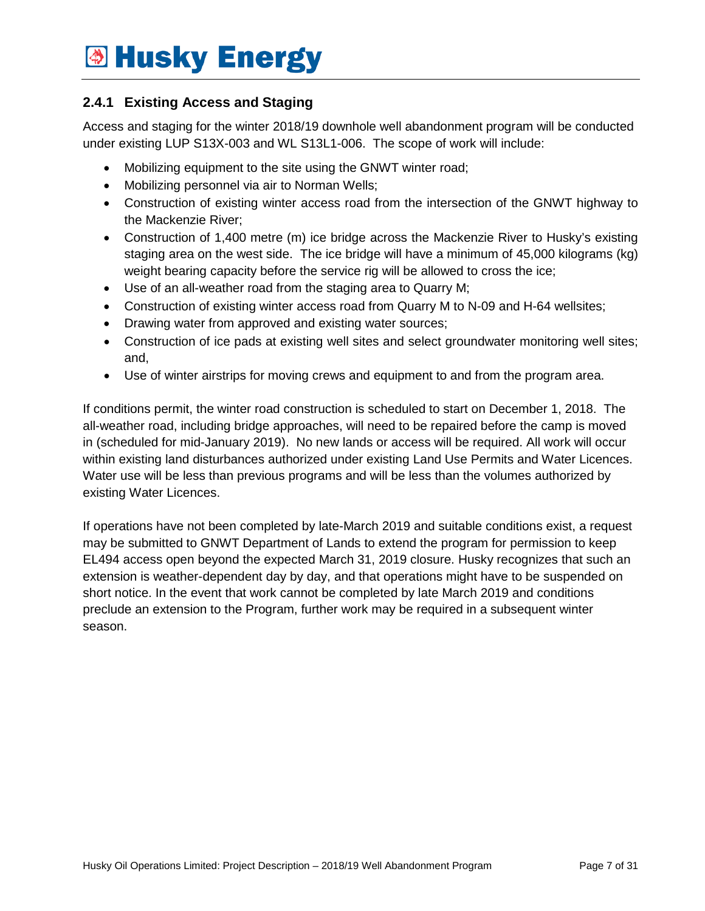#### <span id="page-6-0"></span>**2.4.1 Existing Access and Staging**

Access and staging for the winter 2018/19 downhole well abandonment program will be conducted under existing LUP S13X-003 and WL S13L1-006. The scope of work will include:

- Mobilizing equipment to the site using the GNWT winter road;
- Mobilizing personnel via air to Norman Wells;
- Construction of existing winter access road from the intersection of the GNWT highway to the Mackenzie River;
- Construction of 1,400 metre (m) ice bridge across the Mackenzie River to Husky's existing staging area on the west side. The ice bridge will have a minimum of 45,000 kilograms (kg) weight bearing capacity before the service rig will be allowed to cross the ice;
- Use of an all-weather road from the staging area to Quarry M;
- Construction of existing winter access road from Quarry M to N-09 and H-64 wellsites;
- Drawing water from approved and existing water sources;
- Construction of ice pads at existing well sites and select groundwater monitoring well sites; and,
- Use of winter airstrips for moving crews and equipment to and from the program area.

If conditions permit, the winter road construction is scheduled to start on December 1, 2018. The all-weather road, including bridge approaches, will need to be repaired before the camp is moved in (scheduled for mid-January 2019). No new lands or access will be required. All work will occur within existing land disturbances authorized under existing Land Use Permits and Water Licences. Water use will be less than previous programs and will be less than the volumes authorized by existing Water Licences.

If operations have not been completed by late-March 2019 and suitable conditions exist, a request may be submitted to GNWT Department of Lands to extend the program for permission to keep EL494 access open beyond the expected March 31, 2019 closure. Husky recognizes that such an extension is weather-dependent day by day, and that operations might have to be suspended on short notice. In the event that work cannot be completed by late March 2019 and conditions preclude an extension to the Program, further work may be required in a subsequent winter season.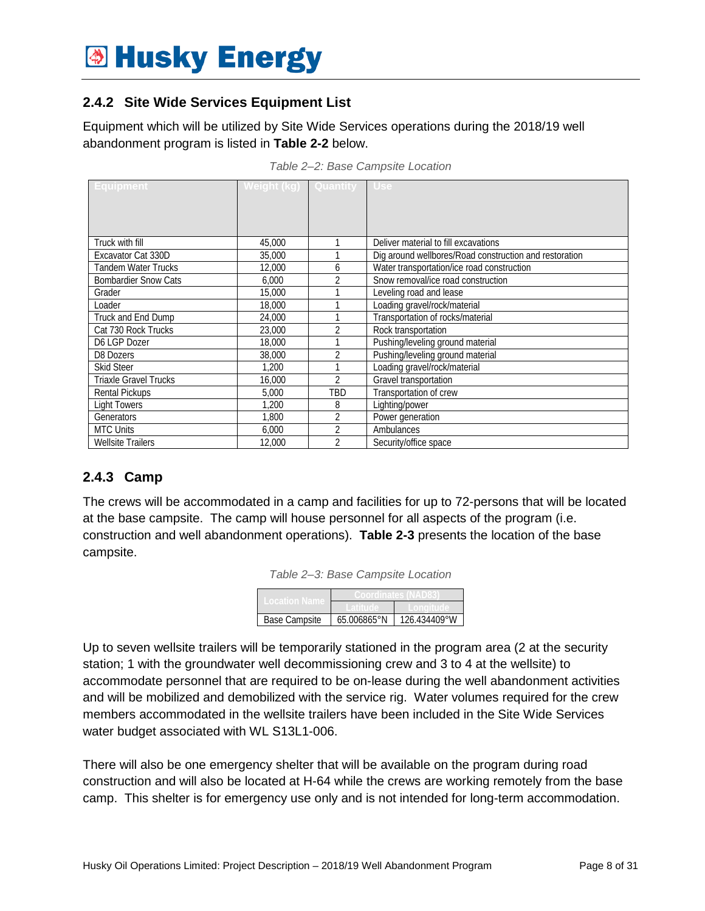#### <span id="page-7-0"></span>**2.4.2 Site Wide Services Equipment List**

Equipment which will be utilized by Site Wide Services operations during the 2018/19 well abandonment program is listed in **Table 2-2** below.

<span id="page-7-2"></span>

| <b>Equipment</b>             | Weight (kg) Quantity Use |                |                                                        |
|------------------------------|--------------------------|----------------|--------------------------------------------------------|
|                              |                          |                |                                                        |
|                              |                          |                |                                                        |
|                              |                          |                |                                                        |
| Truck with fill              | 45,000                   |                | Deliver material to fill excavations                   |
|                              |                          |                |                                                        |
| Excavator Cat 330D           | 35,000                   |                | Dig around wellbores/Road construction and restoration |
| Tandem Water Trucks          | 12,000                   | 6              | Water transportation/ice road construction             |
| <b>Bombardier Snow Cats</b>  | 6,000                    | 2              | Snow removal/ice road construction                     |
| Grader                       | 15,000                   |                | Leveling road and lease                                |
| Loader                       | 18,000                   |                | Loading gravel/rock/material                           |
| Truck and End Dump           | 24,000                   |                | Transportation of rocks/material                       |
| Cat 730 Rock Trucks          | 23,000                   | 2              | Rock transportation                                    |
| D6 LGP Dozer                 | 18,000                   |                | Pushing/leveling ground material                       |
| D8 Dozers                    | 38,000                   | $\overline{2}$ | Pushing/leveling ground material                       |
| <b>Skid Steer</b>            | 1.200                    |                | Loading gravel/rock/material                           |
| <b>Triaxle Gravel Trucks</b> | 16,000                   | $\overline{2}$ | Gravel transportation                                  |
| <b>Rental Pickups</b>        | 5,000                    | TBD            | Transportation of crew                                 |
| <b>Light Towers</b>          | 1.200                    | 8              | Lighting/power                                         |
| Generators                   | 1.800                    | $\overline{2}$ | Power generation                                       |
| <b>MTC Units</b>             | 6.000                    | $\overline{2}$ | Ambulances                                             |
| <b>Wellsite Trailers</b>     | 12,000                   | 2              | Security/office space                                  |

*Table 2–2: Base Campsite Location*

#### <span id="page-7-1"></span>**2.4.3 Camp**

<span id="page-7-3"></span>The crews will be accommodated in a camp and facilities for up to 72-persons that will be located at the base campsite. The camp will house personnel for all aspects of the program (i.e. construction and well abandonment operations). **Table 2-3** presents the location of the base campsite.

| Table 2-3: Base Campsite Location |  |  |  |
|-----------------------------------|--|--|--|
|-----------------------------------|--|--|--|

| Base Campsite | 65.006865°N | 126 434409°W |  |
|---------------|-------------|--------------|--|

Up to seven wellsite trailers will be temporarily stationed in the program area (2 at the security station; 1 with the groundwater well decommissioning crew and 3 to 4 at the wellsite) to accommodate personnel that are required to be on-lease during the well abandonment activities and will be mobilized and demobilized with the service rig. Water volumes required for the crew members accommodated in the wellsite trailers have been included in the Site Wide Services water budget associated with WL S13L1-006.

There will also be one emergency shelter that will be available on the program during road construction and will also be located at H-64 while the crews are working remotely from the base camp. This shelter is for emergency use only and is not intended for long-term accommodation.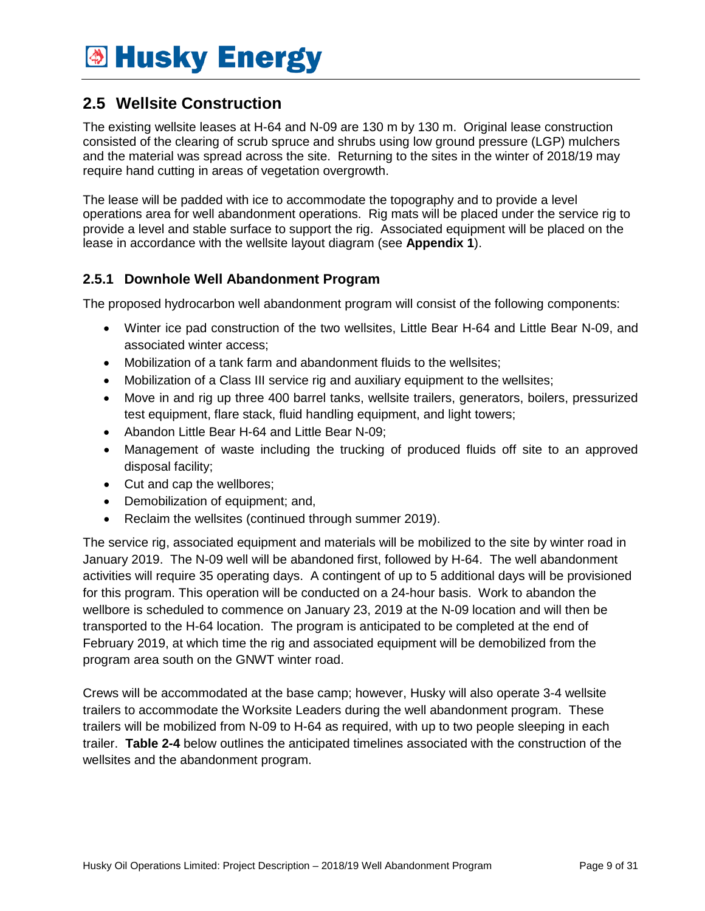### <span id="page-8-0"></span>**2.5 Wellsite Construction**

The existing wellsite leases at H-64 and N-09 are 130 m by 130 m. Original lease construction consisted of the clearing of scrub spruce and shrubs using low ground pressure (LGP) mulchers and the material was spread across the site. Returning to the sites in the winter of 2018/19 may require hand cutting in areas of vegetation overgrowth.

The lease will be padded with ice to accommodate the topography and to provide a level operations area for well abandonment operations. Rig mats will be placed under the service rig to provide a level and stable surface to support the rig. Associated equipment will be placed on the lease in accordance with the wellsite layout diagram (see **Appendix 1**).

#### <span id="page-8-1"></span>**2.5.1 Downhole Well Abandonment Program**

The proposed hydrocarbon well abandonment program will consist of the following components:

- Winter ice pad construction of the two wellsites, Little Bear H-64 and Little Bear N-09, and associated winter access;
- Mobilization of a tank farm and abandonment fluids to the wellsites:
- Mobilization of a Class III service rig and auxiliary equipment to the wellsites;
- Move in and rig up three 400 barrel tanks, wellsite trailers, generators, boilers, pressurized test equipment, flare stack, fluid handling equipment, and light towers;
- Abandon Little Bear H-64 and Little Bear N-09;
- Management of waste including the trucking of produced fluids off site to an approved disposal facility;
- Cut and cap the wellbores;
- Demobilization of equipment; and,
- Reclaim the wellsites (continued through summer 2019).

The service rig, associated equipment and materials will be mobilized to the site by winter road in January 2019. The N-09 well will be abandoned first, followed by H-64. The well abandonment activities will require 35 operating days. A contingent of up to 5 additional days will be provisioned for this program. This operation will be conducted on a 24-hour basis. Work to abandon the wellbore is scheduled to commence on January 23, 2019 at the N-09 location and will then be transported to the H-64 location. The program is anticipated to be completed at the end of February 2019, at which time the rig and associated equipment will be demobilized from the program area south on the GNWT winter road.

Crews will be accommodated at the base camp; however, Husky will also operate 3-4 wellsite trailers to accommodate the Worksite Leaders during the well abandonment program. These trailers will be mobilized from N-09 to H-64 as required, with up to two people sleeping in each trailer. **Table 2-4** below outlines the anticipated timelines associated with the construction of the wellsites and the abandonment program.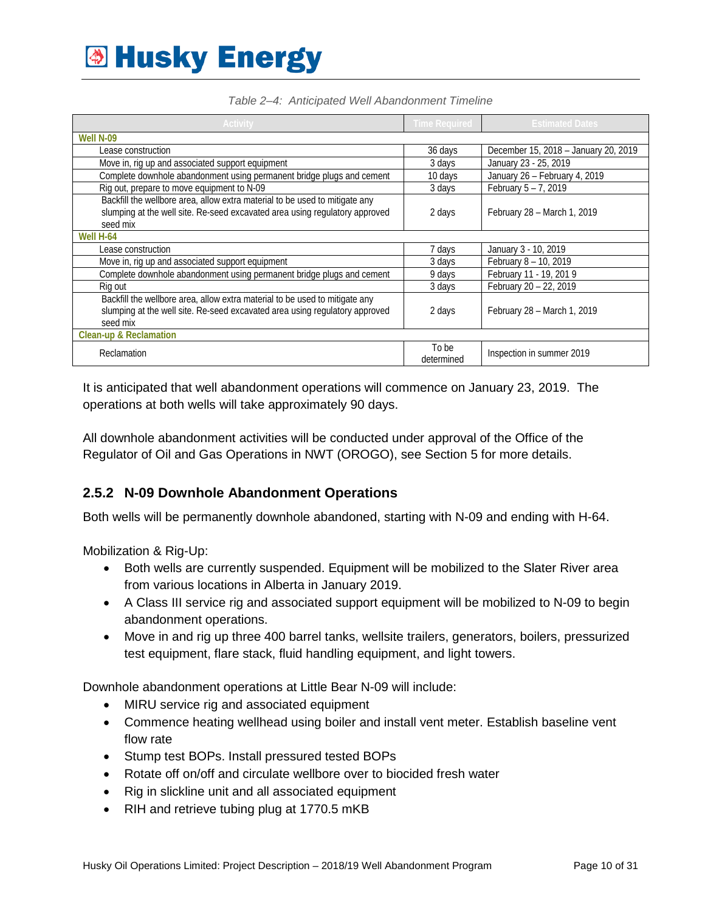<span id="page-9-1"></span>

| <b>Activity</b>                                                                                                                                                        | <b>Time Required</b> | <b>Estimated Dates</b>               |
|------------------------------------------------------------------------------------------------------------------------------------------------------------------------|----------------------|--------------------------------------|
| Well N-09                                                                                                                                                              |                      |                                      |
| Lease construction                                                                                                                                                     | 36 days              | December 15, 2018 - January 20, 2019 |
| Move in, rig up and associated support equipment                                                                                                                       | 3 days               | January 23 - 25, 2019                |
| Complete downhole abandonment using permanent bridge plugs and cement                                                                                                  | 10 days              | January 26 - February 4, 2019        |
| Rig out, prepare to move equipment to N-09                                                                                                                             | 3 days               | February $5 - 7$ , 2019              |
| Backfill the wellbore area, allow extra material to be used to mitigate any<br>slumping at the well site. Re-seed excavated area using regulatory approved<br>seed mix | 2 days               | February 28 - March 1, 2019          |
| Well H-64                                                                                                                                                              |                      |                                      |
| Lease construction                                                                                                                                                     | 7 days               | January 3 - 10, 2019                 |
| Move in, rig up and associated support equipment                                                                                                                       | 3 days               | February 8 - 10, 2019                |
| Complete downhole abandonment using permanent bridge plugs and cement                                                                                                  | 9 days               | February 11 - 19, 201 9              |
| Rig out                                                                                                                                                                | 3 days               | February 20 - 22, 2019               |
| Backfill the wellbore area, allow extra material to be used to mitigate any<br>slumping at the well site. Re-seed excavated area using regulatory approved<br>seed mix | 2 days               | February 28 - March 1, 2019          |
| Clean-up & Reclamation                                                                                                                                                 |                      |                                      |
| Reclamation                                                                                                                                                            | To be<br>determined  | Inspection in summer 2019            |

It is anticipated that well abandonment operations will commence on January 23, 2019. The operations at both wells will take approximately 90 days.

All downhole abandonment activities will be conducted under approval of the Office of the Regulator of Oil and Gas Operations in NWT (OROGO), see Section 5 for more details.

#### <span id="page-9-0"></span>**2.5.2 N-09 Downhole Abandonment Operations**

Both wells will be permanently downhole abandoned, starting with N-09 and ending with H-64.

Mobilization & Rig-Up:

- Both wells are currently suspended. Equipment will be mobilized to the Slater River area from various locations in Alberta in January 2019.
- A Class III service rig and associated support equipment will be mobilized to N-09 to begin abandonment operations.
- Move in and rig up three 400 barrel tanks, wellsite trailers, generators, boilers, pressurized test equipment, flare stack, fluid handling equipment, and light towers.

Downhole abandonment operations at Little Bear N-09 will include:

- MIRU service rig and associated equipment
- Commence heating wellhead using boiler and install vent meter. Establish baseline vent flow rate
- Stump test BOPs. Install pressured tested BOPs
- Rotate off on/off and circulate wellbore over to biocided fresh water
- Rig in slickline unit and all associated equipment
- RIH and retrieve tubing plug at 1770.5 mKB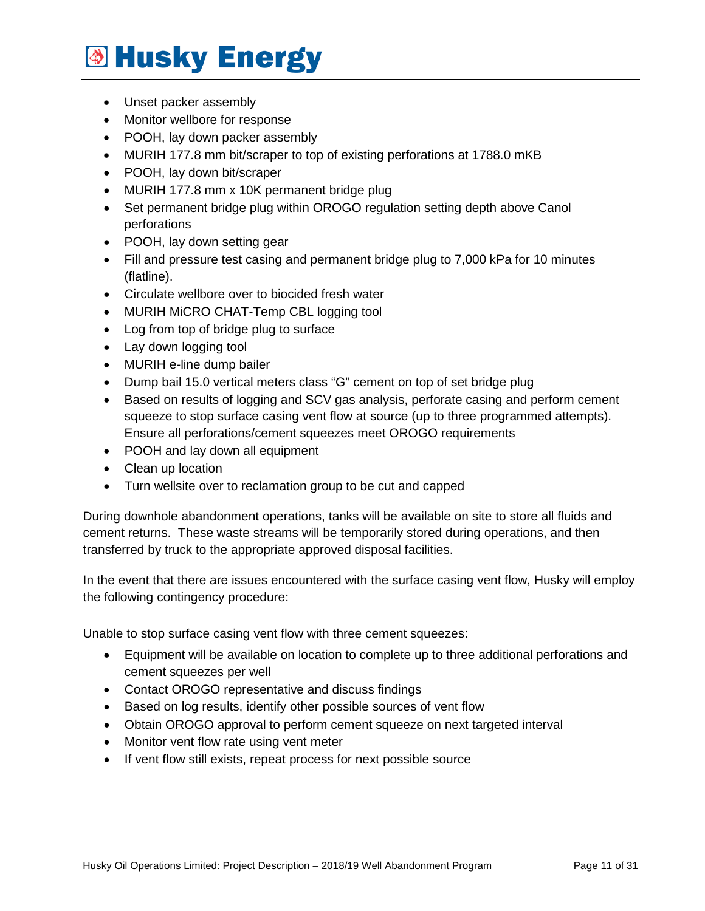- Unset packer assembly
- Monitor wellbore for response
- POOH, lay down packer assembly
- MURIH 177.8 mm bit/scraper to top of existing perforations at 1788.0 mKB
- POOH, lay down bit/scraper
- MURIH 177.8 mm x 10K permanent bridge plug
- Set permanent bridge plug within OROGO regulation setting depth above Canol perforations
- POOH, lay down setting gear
- Fill and pressure test casing and permanent bridge plug to 7,000 kPa for 10 minutes (flatline).
- Circulate wellbore over to biocided fresh water
- MURIH MiCRO CHAT-Temp CBL logging tool
- Log from top of bridge plug to surface
- Lay down logging tool
- MURIH e-line dump bailer
- Dump bail 15.0 vertical meters class "G" cement on top of set bridge plug
- Based on results of logging and SCV gas analysis, perforate casing and perform cement squeeze to stop surface casing vent flow at source (up to three programmed attempts). Ensure all perforations/cement squeezes meet OROGO requirements
- POOH and lay down all equipment
- Clean up location
- Turn wellsite over to reclamation group to be cut and capped

During downhole abandonment operations, tanks will be available on site to store all fluids and cement returns. These waste streams will be temporarily stored during operations, and then transferred by truck to the appropriate approved disposal facilities.

In the event that there are issues encountered with the surface casing vent flow, Husky will employ the following contingency procedure:

Unable to stop surface casing vent flow with three cement squeezes:

- Equipment will be available on location to complete up to three additional perforations and cement squeezes per well
- Contact OROGO representative and discuss findings
- Based on log results, identify other possible sources of vent flow
- Obtain OROGO approval to perform cement squeeze on next targeted interval
- Monitor vent flow rate using vent meter
- If vent flow still exists, repeat process for next possible source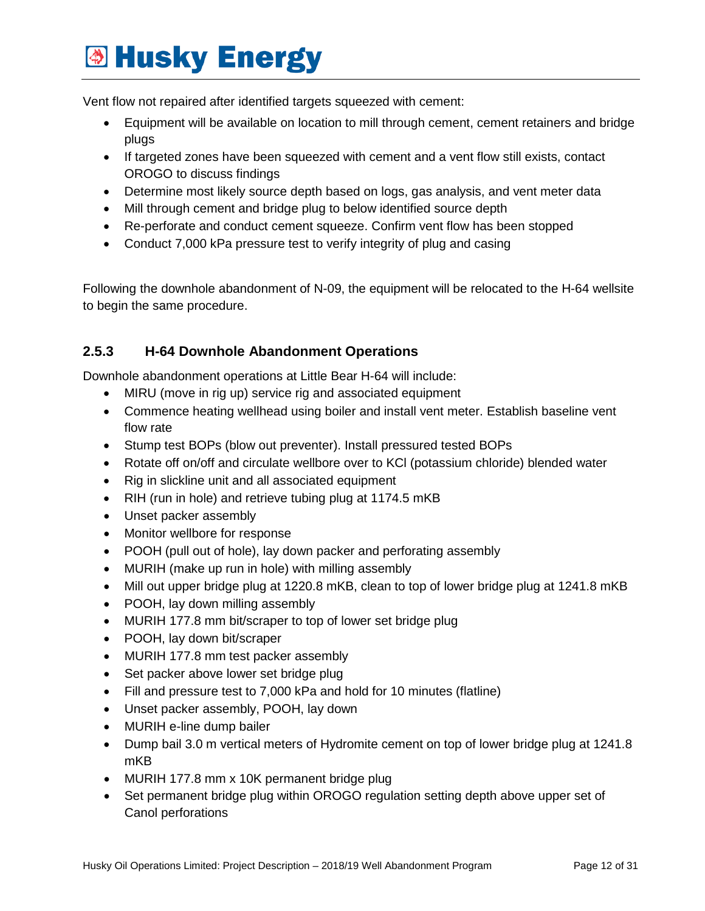Vent flow not repaired after identified targets squeezed with cement:

- Equipment will be available on location to mill through cement, cement retainers and bridge plugs
- If targeted zones have been squeezed with cement and a vent flow still exists, contact OROGO to discuss findings
- Determine most likely source depth based on logs, gas analysis, and vent meter data
- Mill through cement and bridge plug to below identified source depth
- Re-perforate and conduct cement squeeze. Confirm vent flow has been stopped
- Conduct 7,000 kPa pressure test to verify integrity of plug and casing

Following the downhole abandonment of N-09, the equipment will be relocated to the H-64 wellsite to begin the same procedure.

#### <span id="page-11-0"></span>**2.5.3 H-64 Downhole Abandonment Operations**

Downhole abandonment operations at Little Bear H-64 will include:

- MIRU (move in rig up) service rig and associated equipment
- Commence heating wellhead using boiler and install vent meter. Establish baseline vent flow rate
- Stump test BOPs (blow out preventer). Install pressured tested BOPs
- Rotate off on/off and circulate wellbore over to KCl (potassium chloride) blended water
- Rig in slickline unit and all associated equipment
- RIH (run in hole) and retrieve tubing plug at 1174.5 mKB
- Unset packer assembly
- Monitor wellbore for response
- POOH (pull out of hole), lay down packer and perforating assembly
- MURIH (make up run in hole) with milling assembly
- Mill out upper bridge plug at 1220.8 mKB, clean to top of lower bridge plug at 1241.8 mKB
- POOH, lay down milling assembly
- MURIH 177.8 mm bit/scraper to top of lower set bridge plug
- POOH, lay down bit/scraper
- MURIH 177.8 mm test packer assembly
- Set packer above lower set bridge plug
- Fill and pressure test to 7,000 kPa and hold for 10 minutes (flatline)
- Unset packer assembly, POOH, lay down
- MURIH e-line dump bailer
- Dump bail 3.0 m vertical meters of Hydromite cement on top of lower bridge plug at 1241.8 mKB
- MURIH 177.8 mm x 10K permanent bridge plug
- Set permanent bridge plug within OROGO regulation setting depth above upper set of Canol perforations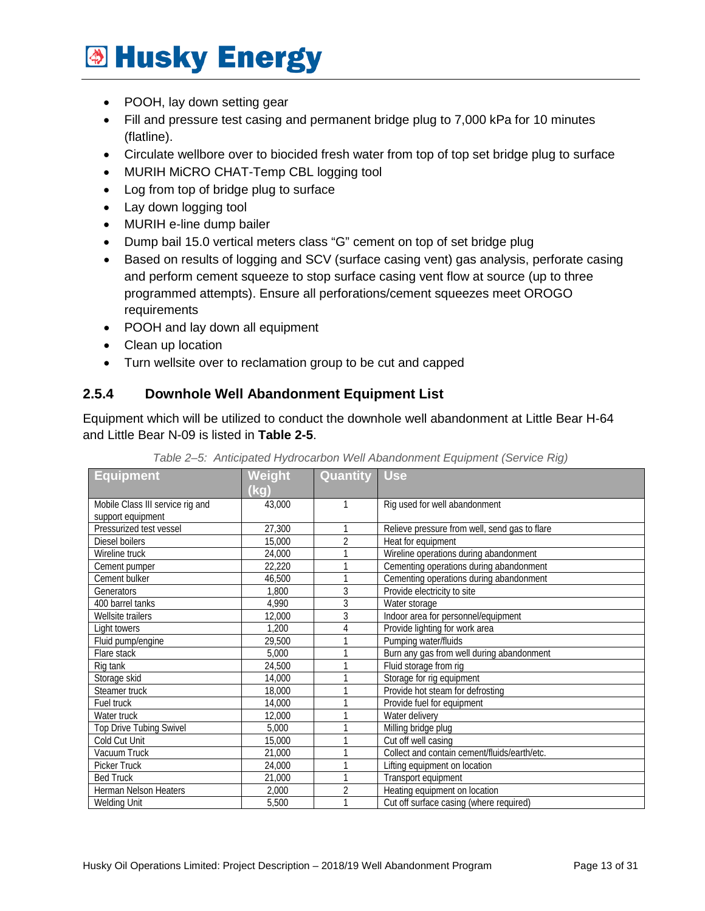- POOH, lay down setting gear
- Fill and pressure test casing and permanent bridge plug to 7,000 kPa for 10 minutes (flatline).
- Circulate wellbore over to biocided fresh water from top of top set bridge plug to surface
- MURIH MiCRO CHAT-Temp CBL logging tool
- Log from top of bridge plug to surface
- Lay down logging tool
- MURIH e-line dump bailer
- Dump bail 15.0 vertical meters class "G" cement on top of set bridge plug
- Based on results of logging and SCV (surface casing vent) gas analysis, perforate casing and perform cement squeeze to stop surface casing vent flow at source (up to three programmed attempts). Ensure all perforations/cement squeezes meet OROGO requirements
- POOH and lay down all equipment
- Clean up location
- Turn wellsite over to reclamation group to be cut and capped

#### <span id="page-12-0"></span>**2.5.4 Downhole Well Abandonment Equipment List**

Equipment which will be utilized to conduct the downhole well abandonment at Little Bear H-64 and Little Bear N-09 is listed in **Table 2-5**.

<span id="page-12-1"></span>

| <b>Equipment</b>                 | Weight | Quantity       | <b>Use</b>                                    |
|----------------------------------|--------|----------------|-----------------------------------------------|
|                                  | (kg)   |                |                                               |
| Mobile Class III service rig and | 43,000 |                | Rig used for well abandonment                 |
| support equipment                |        |                |                                               |
| Pressurized test vessel          | 27,300 | 1              | Relieve pressure from well, send gas to flare |
| Diesel boilers                   | 15,000 | $\overline{2}$ | Heat for equipment                            |
| Wireline truck                   | 24,000 | 1              | Wireline operations during abandonment        |
| Cement pumper                    | 22,220 |                | Cementing operations during abandonment       |
| Cement bulker                    | 46,500 | 1              | Cementing operations during abandonment       |
| Generators                       | 1,800  | 3              | Provide electricity to site                   |
| 400 barrel tanks                 | 4,990  | 3              | Water storage                                 |
| Wellsite trailers                | 12,000 | 3              | Indoor area for personnel/equipment           |
| Light towers                     | 1,200  | 4              | Provide lighting for work area                |
| Fluid pump/engine                | 29,500 | 1              | Pumping water/fluids                          |
| Flare stack                      | 5,000  | 1              | Burn any gas from well during abandonment     |
| Rig tank                         | 24,500 | 1              | Fluid storage from rig                        |
| Storage skid                     | 14,000 | 1              | Storage for rig equipment                     |
| Steamer truck                    | 18,000 | 1              | Provide hot steam for defrosting              |
| Fuel truck                       | 14,000 |                | Provide fuel for equipment                    |
| Water truck                      | 12,000 | 1              | Water delivery                                |
| <b>Top Drive Tubing Swivel</b>   | 5,000  |                | Milling bridge plug                           |
| Cold Cut Unit                    | 15,000 |                | Cut off well casing                           |
| Vacuum Truck                     | 21,000 |                | Collect and contain cement/fluids/earth/etc.  |
| <b>Picker Truck</b>              | 24,000 |                | Lifting equipment on location                 |
| <b>Bed Truck</b>                 | 21,000 | 1              | Transport equipment                           |
| <b>Herman Nelson Heaters</b>     | 2,000  | $\overline{2}$ | Heating equipment on location                 |
| <b>Welding Unit</b>              | 5,500  |                | Cut off surface casing (where required)       |

*Table 2–5: Anticipated Hydrocarbon Well Abandonment Equipment (Service Rig)*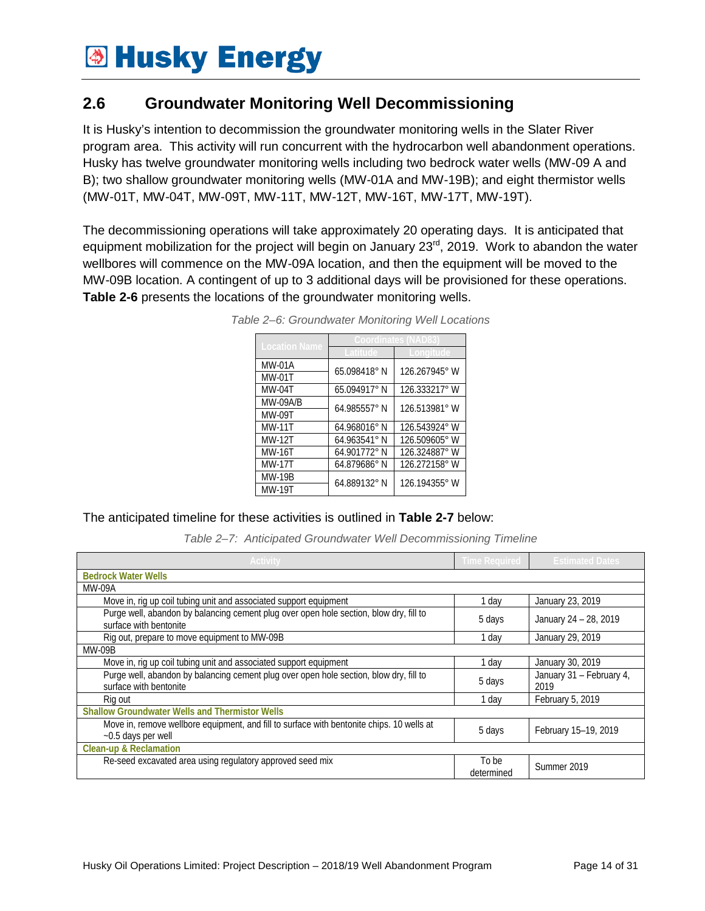### <span id="page-13-0"></span>**2.6 Groundwater Monitoring Well Decommissioning**

It is Husky's intention to decommission the groundwater monitoring wells in the Slater River program area. This activity will run concurrent with the hydrocarbon well abandonment operations. Husky has twelve groundwater monitoring wells including two bedrock water wells (MW-09 A and B); two shallow groundwater monitoring wells (MW-01A and MW-19B); and eight thermistor wells (MW-01T, MW-04T, MW-09T, MW-11T, MW-12T, MW-16T, MW-17T, MW-19T).

<span id="page-13-1"></span>The decommissioning operations will take approximately 20 operating days. It is anticipated that equipment mobilization for the project will begin on January 23<sup>rd</sup>, 2019. Work to abandon the water wellbores will commence on the MW-09A location, and then the equipment will be moved to the MW-09B location. A contingent of up to 3 additional days will be provisioned for these operations. **Table 2-6** presents the locations of the groundwater monitoring wells.

| <b>Location Name</b> | Coordinates (NAD      |                  |  |
|----------------------|-----------------------|------------------|--|
|                      |                       |                  |  |
| <b>MW-01A</b>        | 65.098418°N           | 126.267945° W    |  |
| <b>MW-01T</b>        |                       |                  |  |
| $MW-04T$             | 65.094917°N           | $126.333217$ ° W |  |
| <b>MW-09A/B</b>      | 64.985557° N          | 126.513981° W    |  |
| MW-09T               |                       |                  |  |
| <b>MW-11T</b>        | 64.968016°N           | 126.543924° W    |  |
| <b>MW-12T</b>        | $64.963541^{\circ}$ N | 126.509605° W    |  |
| MW-16T               | 64.901772° N          | 126.324887°W     |  |
| <b>MW-17T</b>        | 64.879686°N           | 126.272158° W    |  |
| <b>MW-19B</b>        | 64.889132° N          | 126.194355° W    |  |
| <b>MW-19T</b>        |                       |                  |  |

*Table 2–6: Groundwater Monitoring Well Locations*

<span id="page-13-2"></span>The anticipated timeline for these activities is outlined in **Table 2-7** below:

*Table 2–7: Anticipated Groundwater Well Decommissioning Timeline*

| <b>Activity</b>                                                                                                    | Time Required       | <b>Estimated Dates</b>           |  |  |
|--------------------------------------------------------------------------------------------------------------------|---------------------|----------------------------------|--|--|
| <b>Bedrock Water Wells</b>                                                                                         |                     |                                  |  |  |
| MW-09A                                                                                                             |                     |                                  |  |  |
| Move in, rig up coil tubing unit and associated support equipment                                                  | 1 day               | January 23, 2019                 |  |  |
| Purge well, abandon by balancing cement plug over open hole section, blow dry, fill to<br>surface with bentonite   | 5 days              | January 24 - 28, 2019            |  |  |
| Rig out, prepare to move equipment to MW-09B                                                                       | 1 day               | January 29, 2019                 |  |  |
| MW-09B                                                                                                             |                     |                                  |  |  |
| Move in, rig up coil tubing unit and associated support equipment                                                  | 1 dav               | January 30, 2019                 |  |  |
| Purge well, abandon by balancing cement plug over open hole section, blow dry, fill to<br>surface with bentonite   | 5 days              | January 31 - February 4,<br>2019 |  |  |
| Rig out                                                                                                            | 1 dav               | February 5, 2019                 |  |  |
| <b>Shallow Groundwater Wells and Thermistor Wells</b>                                                              |                     |                                  |  |  |
| Move in, remove wellbore equipment, and fill to surface with bentonite chips. 10 wells at<br>$~10.5$ days per well | 5 days              | February 15-19, 2019             |  |  |
| <b>Clean-up &amp; Reclamation</b>                                                                                  |                     |                                  |  |  |
| Re-seed excavated area using regulatory approved seed mix                                                          | To be<br>determined | Summer 2019                      |  |  |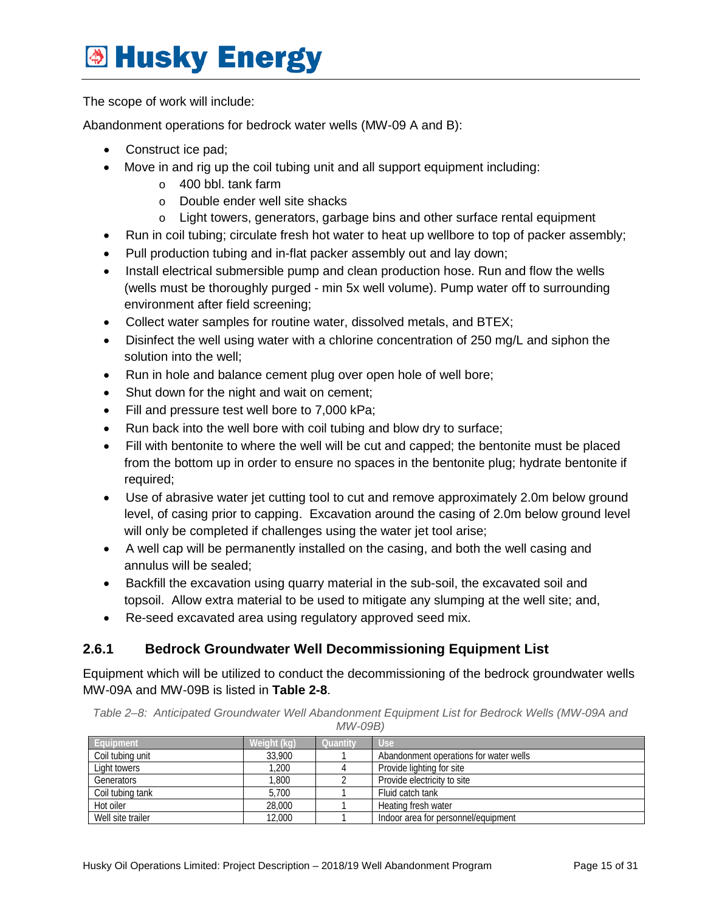The scope of work will include:

Abandonment operations for bedrock water wells (MW-09 A and B):

- Construct ice pad;
- Move in and rig up the coil tubing unit and all support equipment including:
	- o 400 bbl. tank farm
	- o Double ender well site shacks
	- o Light towers, generators, garbage bins and other surface rental equipment
- Run in coil tubing; circulate fresh hot water to heat up wellbore to top of packer assembly;
- Pull production tubing and in-flat packer assembly out and lay down;
- Install electrical submersible pump and clean production hose. Run and flow the wells (wells must be thoroughly purged - min 5x well volume). Pump water off to surrounding environment after field screening;
- Collect water samples for routine water, dissolved metals, and BTEX;
- Disinfect the well using water with a chlorine concentration of 250 mg/L and siphon the solution into the well;
- Run in hole and balance cement plug over open hole of well bore;
- Shut down for the night and wait on cement;
- Fill and pressure test well bore to 7,000 kPa;
- Run back into the well bore with coil tubing and blow dry to surface;
- Fill with bentonite to where the well will be cut and capped; the bentonite must be placed from the bottom up in order to ensure no spaces in the bentonite plug; hydrate bentonite if required;
- Use of abrasive water jet cutting tool to cut and remove approximately 2.0m below ground level, of casing prior to capping. Excavation around the casing of 2.0m below ground level will only be completed if challenges using the water jet tool arise;
- A well cap will be permanently installed on the casing, and both the well casing and annulus will be sealed;
- Backfill the excavation using quarry material in the sub-soil, the excavated soil and topsoil. Allow extra material to be used to mitigate any slumping at the well site; and,
- Re-seed excavated area using regulatory approved seed mix.

#### <span id="page-14-0"></span>**2.6.1 Bedrock Groundwater Well Decommissioning Equipment List**

Equipment which will be utilized to conduct the decommissioning of the bedrock groundwater wells MW-09A and MW-09B is listed in **Table 2-8**.

<span id="page-14-1"></span>*Table 2–8: Anticipated Groundwater Well Abandonment Equipment List for Bedrock Wells (MW-09A and MW-09B)*

| Equipment         | Weight (kg) | Quantity | <b>Use</b>                             |
|-------------------|-------------|----------|----------------------------------------|
| Coil tubing unit  | 33,900      |          | Abandonment operations for water wells |
| Light towers      | .200        |          | Provide lighting for site              |
| Generators        | .800        |          | Provide electricity to site            |
| Coil tubing tank  | 5.700       |          | Fluid catch tank                       |
| Hot oiler         | 28,000      |          | Heating fresh water                    |
| Well site trailer | 12.000      |          | Indoor area for personnel/equipment    |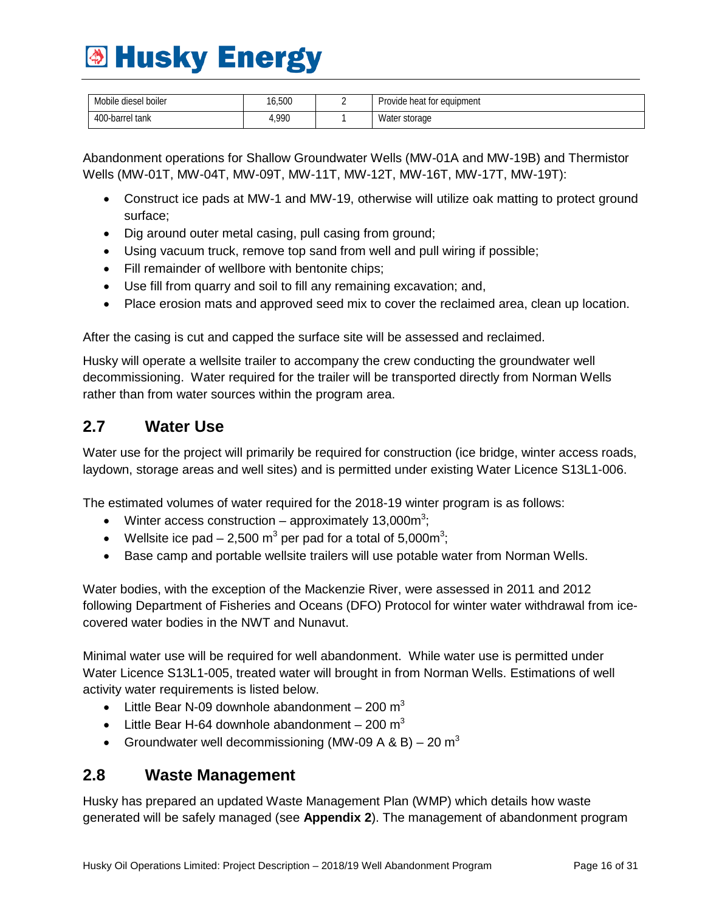| Mobile<br>diesel boiler | 6,500 | equipment<br>Provide heat for |
|-------------------------|-------|-------------------------------|
| 400-barrel tank         | ,990  | . .<br>Water<br>storage       |

Abandonment operations for Shallow Groundwater Wells (MW-01A and MW-19B) and Thermistor Wells (MW-01T, MW-04T, MW-09T, MW-11T, MW-12T, MW-16T, MW-17T, MW-19T):

- Construct ice pads at MW-1 and MW-19, otherwise will utilize oak matting to protect ground surface;
- Dig around outer metal casing, pull casing from ground;
- Using vacuum truck, remove top sand from well and pull wiring if possible;
- Fill remainder of wellbore with bentonite chips;
- Use fill from quarry and soil to fill any remaining excavation; and,
- Place erosion mats and approved seed mix to cover the reclaimed area, clean up location.

After the casing is cut and capped the surface site will be assessed and reclaimed.

Husky will operate a wellsite trailer to accompany the crew conducting the groundwater well decommissioning. Water required for the trailer will be transported directly from Norman Wells rather than from water sources within the program area.

### <span id="page-15-0"></span>**2.7 Water Use**

Water use for the project will primarily be required for construction (ice bridge, winter access roads, laydown, storage areas and well sites) and is permitted under existing Water Licence S13L1-006.

The estimated volumes of water required for the 2018-19 winter program is as follows:

- Winter access construction approximately 13,000 $m^3$ ;
- Wellsite ice pad  $-2,500 \text{ m}^3$  per pad for a total of 5,000m<sup>3</sup>;
- Base camp and portable wellsite trailers will use potable water from Norman Wells.

Water bodies, with the exception of the Mackenzie River, were assessed in 2011 and 2012 following Department of Fisheries and Oceans (DFO) Protocol for winter water withdrawal from icecovered water bodies in the NWT and Nunavut.

Minimal water use will be required for well abandonment. While water use is permitted under Water Licence S13L1-005, treated water will brought in from Norman Wells. Estimations of well activity water requirements is listed below.

- Little Bear N-09 downhole abandonment  $-200 \text{ m}^3$
- Little Bear H-64 downhole abandonment  $-200 \text{ m}^3$
- Groundwater well decommissioning (MW-09 A & B) 20  $m<sup>3</sup>$

#### <span id="page-15-1"></span>**2.8 Waste Management**

Husky has prepared an updated Waste Management Plan (WMP) which details how waste generated will be safely managed (see **Appendix 2**). The management of abandonment program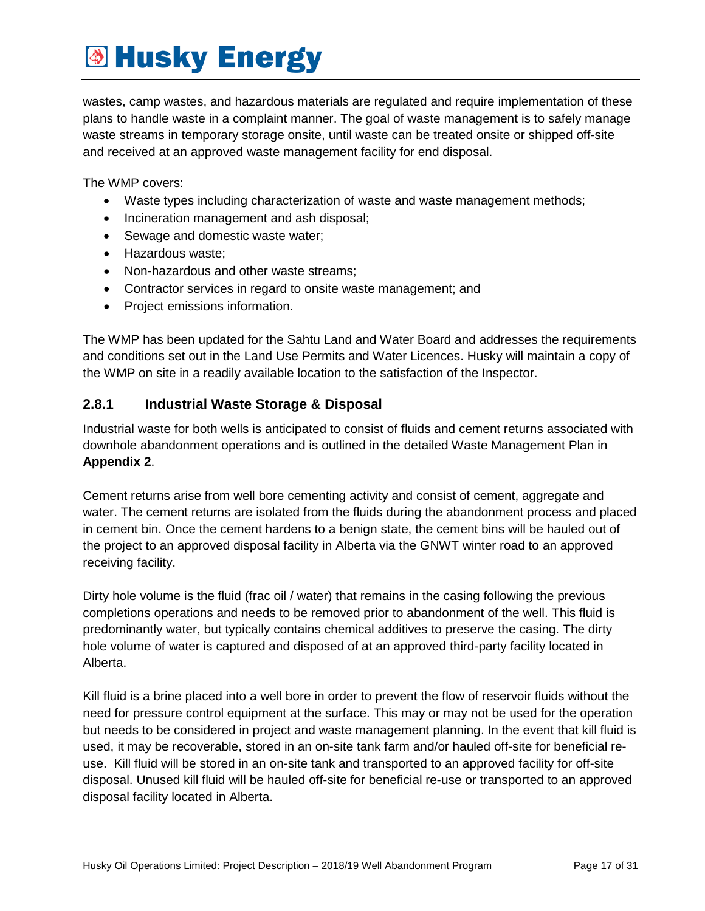wastes, camp wastes, and hazardous materials are regulated and require implementation of these plans to handle waste in a complaint manner. The goal of waste management is to safely manage waste streams in temporary storage onsite, until waste can be treated onsite or shipped off-site and received at an approved waste management facility for end disposal.

The WMP covers:

- Waste types including characterization of waste and waste management methods;
- Incineration management and ash disposal;
- Sewage and domestic waste water;
- Hazardous waste;
- Non-hazardous and other waste streams;
- Contractor services in regard to onsite waste management; and
- Project emissions information.

The WMP has been updated for the Sahtu Land and Water Board and addresses the requirements and conditions set out in the Land Use Permits and Water Licences. Husky will maintain a copy of the WMP on site in a readily available location to the satisfaction of the Inspector.

#### <span id="page-16-0"></span>**2.8.1 Industrial Waste Storage & Disposal**

Industrial waste for both wells is anticipated to consist of fluids and cement returns associated with downhole abandonment operations and is outlined in the detailed Waste Management Plan in **Appendix 2**.

Cement returns arise from well bore cementing activity and consist of cement, aggregate and water. The cement returns are isolated from the fluids during the abandonment process and placed in cement bin. Once the cement hardens to a benign state, the cement bins will be hauled out of the project to an approved disposal facility in Alberta via the GNWT winter road to an approved receiving facility.

Dirty hole volume is the fluid (frac oil / water) that remains in the casing following the previous completions operations and needs to be removed prior to abandonment of the well. This fluid is predominantly water, but typically contains chemical additives to preserve the casing. The dirty hole volume of water is captured and disposed of at an approved third-party facility located in Alberta.

Kill fluid is a brine placed into a well bore in order to prevent the flow of reservoir fluids without the need for pressure control equipment at the surface. This may or may not be used for the operation but needs to be considered in project and waste management planning. In the event that kill fluid is used, it may be recoverable, stored in an on-site tank farm and/or hauled off-site for beneficial reuse. Kill fluid will be stored in an on-site tank and transported to an approved facility for off-site disposal. Unused kill fluid will be hauled off-site for beneficial re-use or transported to an approved disposal facility located in Alberta.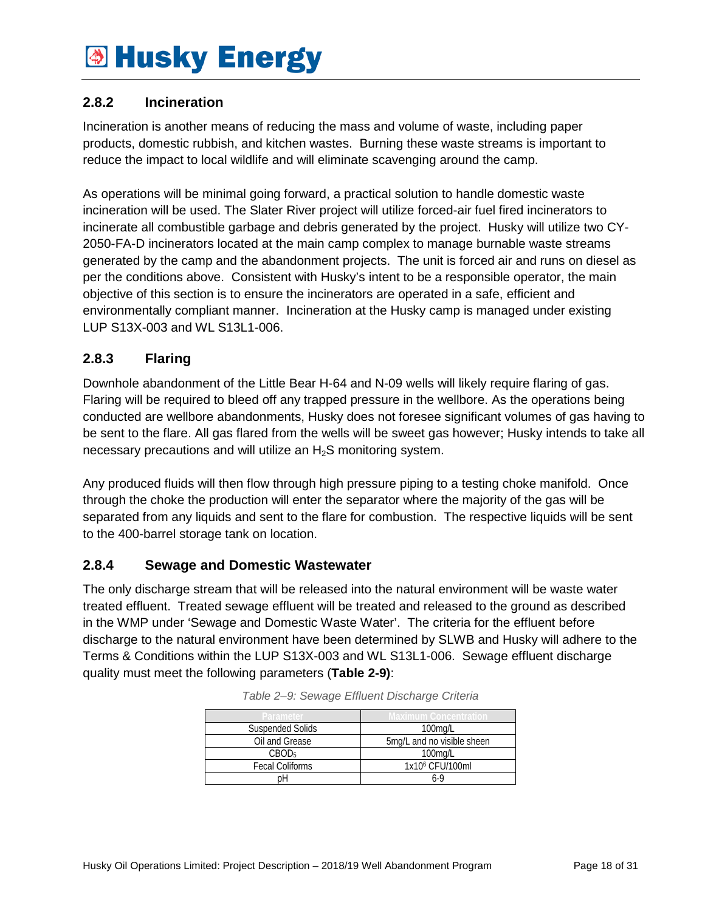#### <span id="page-17-0"></span>**2.8.2 Incineration**

Incineration is another means of reducing the mass and volume of waste, including paper products, domestic rubbish, and kitchen wastes. Burning these waste streams is important to reduce the impact to local wildlife and will eliminate scavenging around the camp.

As operations will be minimal going forward, a practical solution to handle domestic waste incineration will be used. The Slater River project will utilize forced-air fuel fired incinerators to incinerate all combustible garbage and debris generated by the project. Husky will utilize two CY-2050-FA-D incinerators located at the main camp complex to manage burnable waste streams generated by the camp and the abandonment projects. The unit is forced air and runs on diesel as per the conditions above. Consistent with Husky's intent to be a responsible operator, the main objective of this section is to ensure the incinerators are operated in a safe, efficient and environmentally compliant manner. Incineration at the Husky camp is managed under existing LUP S13X-003 and WL S13L1-006.

#### <span id="page-17-1"></span>**2.8.3 Flaring**

Downhole abandonment of the Little Bear H-64 and N-09 wells will likely require flaring of gas. Flaring will be required to bleed off any trapped pressure in the wellbore. As the operations being conducted are wellbore abandonments, Husky does not foresee significant volumes of gas having to be sent to the flare. All gas flared from the wells will be sweet gas however; Husky intends to take all necessary precautions and will utilize an H<sub>2</sub>S monitoring system.

Any produced fluids will then flow through high pressure piping to a testing choke manifold. Once through the choke the production will enter the separator where the majority of the gas will be separated from any liquids and sent to the flare for combustion. The respective liquids will be sent to the 400-barrel storage tank on location.

#### <span id="page-17-2"></span>**2.8.4 Sewage and Domestic Wastewater**

<span id="page-17-3"></span>The only discharge stream that will be released into the natural environment will be waste water treated effluent. Treated sewage effluent will be treated and released to the ground as described in the WMP under 'Sewage and Domestic Waste Water'. The criteria for the effluent before discharge to the natural environment have been determined by SLWB and Husky will adhere to the Terms & Conditions within the LUP S13X-003 and WL S13L1-006. Sewage effluent discharge quality must meet the following parameters (**Table 2-9)**:

| Parameter               | Vlaximum Concentratio       |  |
|-------------------------|-----------------------------|--|
| <b>Suspended Solids</b> | $100$ mg/L                  |  |
| Oil and Grease          | 5mg/L and no visible sheen  |  |
| CBOD <sub>5</sub>       | $100$ mg/L                  |  |
| <b>Fecal Coliforms</b>  | 1x10 <sup>6</sup> CFU/100ml |  |
|                         | 6-9                         |  |

|  | Table 2-9: Sewage Effluent Discharge Criteria |  |
|--|-----------------------------------------------|--|
|  |                                               |  |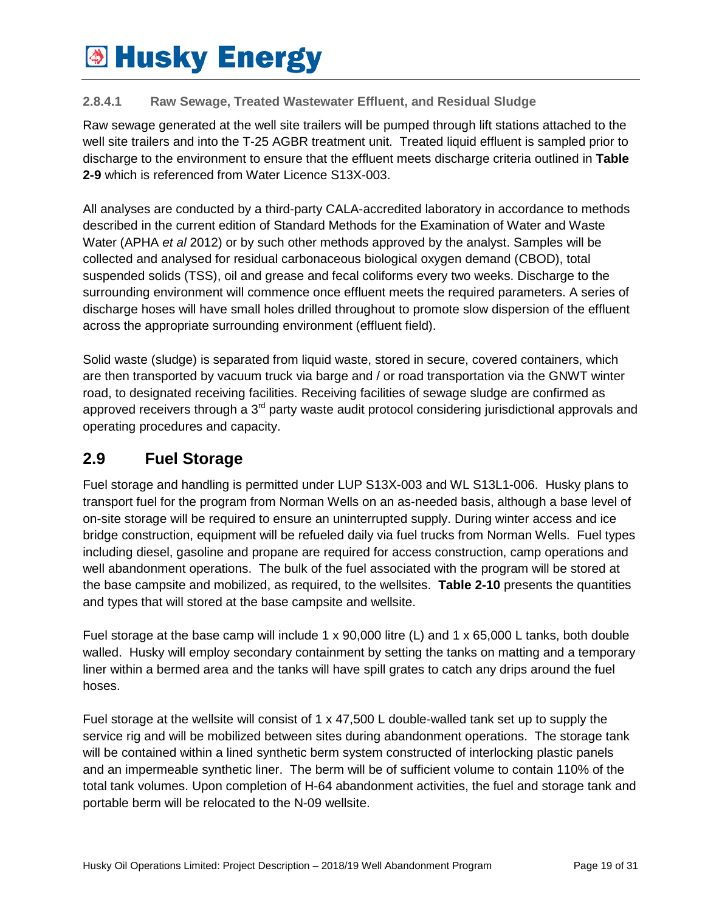#### **2.8.4.1 Raw Sewage, Treated Wastewater Effluent, and Residual Sludge**

Raw sewage generated at the well site trailers will be pumped through lift stations attached to the well site trailers and into the T-25 AGBR treatment unit. Treated liquid effluent is sampled prior to discharge to the environment to ensure that the effluent meets discharge criteria outlined in **Table 2-9** which is referenced from Water Licence S13X-003.

All analyses are conducted by a third-party CALA-accredited laboratory in accordance to methods described in the current edition of Standard Methods for the Examination of Water and Waste Water (APHA *et al* 2012) or by such other methods approved by the analyst. Samples will be collected and analysed for residual carbonaceous biological oxygen demand (CBOD), total suspended solids (TSS), oil and grease and fecal coliforms every two weeks. Discharge to the surrounding environment will commence once effluent meets the required parameters. A series of discharge hoses will have small holes drilled throughout to promote slow dispersion of the effluent across the appropriate surrounding environment (effluent field).

Solid waste (sludge) is separated from liquid waste, stored in secure, covered containers, which are then transported by vacuum truck via barge and / or road transportation via the GNWT winter road, to designated receiving facilities. Receiving facilities of sewage sludge are confirmed as approved receivers through a  $3<sup>rd</sup>$  party waste audit protocol considering jurisdictional approvals and operating procedures and capacity.

### <span id="page-18-0"></span>**2.9 Fuel Storage**

Fuel storage and handling is permitted under LUP S13X-003 and WL S13L1-006. Husky plans to transport fuel for the program from Norman Wells on an as-needed basis, although a base level of on-site storage will be required to ensure an uninterrupted supply. During winter access and ice bridge construction, equipment will be refueled daily via fuel trucks from Norman Wells. Fuel types including diesel, gasoline and propane are required for access construction, camp operations and well abandonment operations. The bulk of the fuel associated with the program will be stored at the base campsite and mobilized, as required, to the wellsites. **Table 2-10** presents the quantities and types that will stored at the base campsite and wellsite.

Fuel storage at the base camp will include 1 x 90,000 litre (L) and 1 x 65,000 L tanks, both double walled. Husky will employ secondary containment by setting the tanks on matting and a temporary liner within a bermed area and the tanks will have spill grates to catch any drips around the fuel hoses.

Fuel storage at the wellsite will consist of 1 x 47,500 L double-walled tank set up to supply the service rig and will be mobilized between sites during abandonment operations. The storage tank will be contained within a lined synthetic berm system constructed of interlocking plastic panels and an impermeable synthetic liner. The berm will be of sufficient volume to contain 110% of the total tank volumes. Upon completion of H-64 abandonment activities, the fuel and storage tank and portable berm will be relocated to the N-09 wellsite.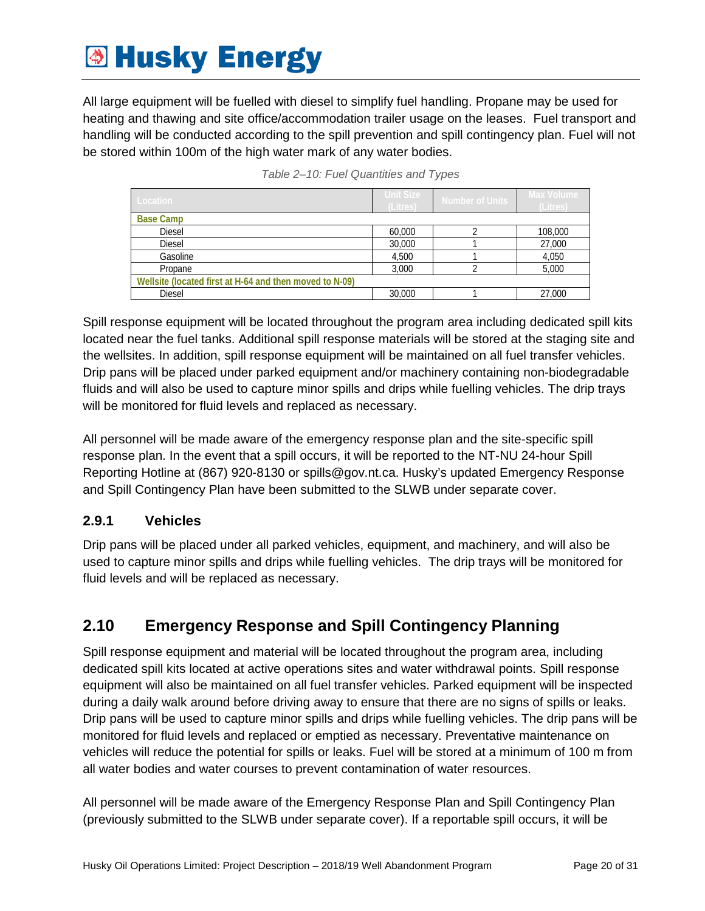All large equipment will be fuelled with diesel to simplify fuel handling. Propane may be used for heating and thawing and site office/accommodation trailer usage on the leases. Fuel transport and handling will be conducted according to the spill prevention and spill contingency plan. Fuel will not be stored within 100m of the high water mark of any water bodies.

<span id="page-19-2"></span>

| Location                                                | Unit Size<br>(Litres) | Number of Units | 'Max Volume I<br>(Litres) |  |
|---------------------------------------------------------|-----------------------|-----------------|---------------------------|--|
| <b>Base Camp</b>                                        |                       |                 |                           |  |
| <b>Diesel</b>                                           | 60,000                |                 | 108,000                   |  |
| <b>Diesel</b>                                           | 30,000                |                 | 27,000                    |  |
| Gasoline                                                | 4,500                 |                 | 4,050                     |  |
| Propane                                                 | 3.000                 |                 | 5,000                     |  |
| Wellsite (located first at H-64 and then moved to N-09) |                       |                 |                           |  |
| <b>Diesel</b>                                           | 30,000                |                 | 27,000                    |  |

*Table 2–10: Fuel Quantities and Types*

Spill response equipment will be located throughout the program area including dedicated spill kits located near the fuel tanks. Additional spill response materials will be stored at the staging site and the wellsites. In addition, spill response equipment will be maintained on all fuel transfer vehicles. Drip pans will be placed under parked equipment and/or machinery containing non-biodegradable fluids and will also be used to capture minor spills and drips while fuelling vehicles. The drip trays will be monitored for fluid levels and replaced as necessary.

All personnel will be made aware of the emergency response plan and the site-specific spill response plan. In the event that a spill occurs, it will be reported to the NT-NU 24-hour Spill Reporting Hotline at (867) 920-8130 or spills@gov.nt.ca. Husky's updated Emergency Response and Spill Contingency Plan have been submitted to the SLWB under separate cover.

#### <span id="page-19-0"></span>**2.9.1 Vehicles**

Drip pans will be placed under all parked vehicles, equipment, and machinery, and will also be used to capture minor spills and drips while fuelling vehicles. The drip trays will be monitored for fluid levels and will be replaced as necessary.

### <span id="page-19-1"></span>**2.10 Emergency Response and Spill Contingency Planning**

Spill response equipment and material will be located throughout the program area, including dedicated spill kits located at active operations sites and water withdrawal points. Spill response equipment will also be maintained on all fuel transfer vehicles. Parked equipment will be inspected during a daily walk around before driving away to ensure that there are no signs of spills or leaks. Drip pans will be used to capture minor spills and drips while fuelling vehicles. The drip pans will be monitored for fluid levels and replaced or emptied as necessary. Preventative maintenance on vehicles will reduce the potential for spills or leaks. Fuel will be stored at a minimum of 100 m from all water bodies and water courses to prevent contamination of water resources.

All personnel will be made aware of the Emergency Response Plan and Spill Contingency Plan (previously submitted to the SLWB under separate cover). If a reportable spill occurs, it will be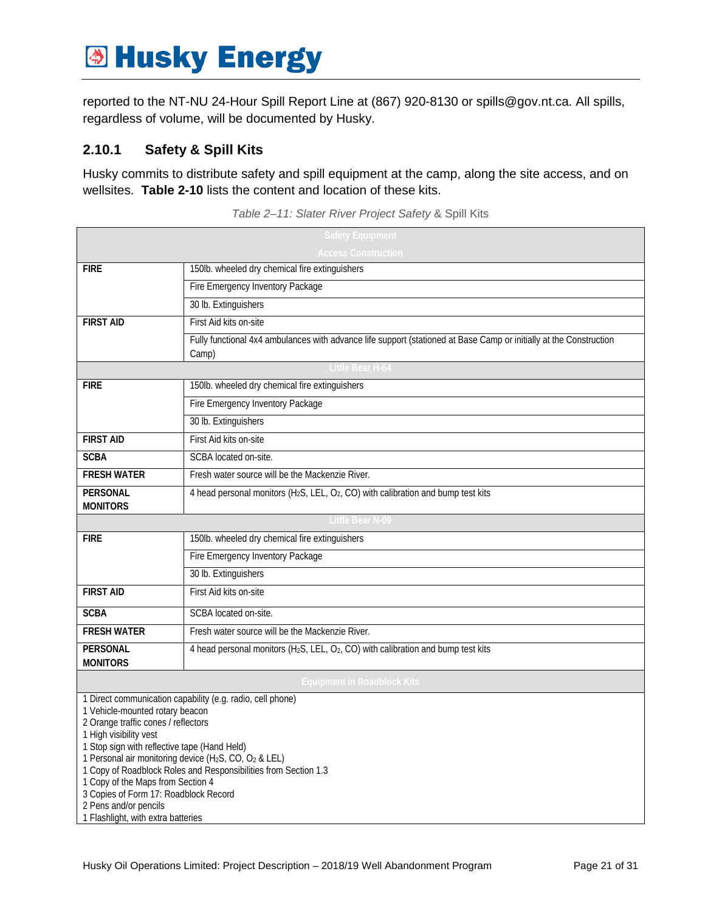reported to the NT-NU 24-Hour Spill Report Line at (867) 920-8130 or spills@gov.nt.ca. All spills, regardless of volume, will be documented by Husky.

#### <span id="page-20-0"></span>**2.10.1 Safety & Spill Kits**

<span id="page-20-1"></span>Husky commits to distribute safety and spill equipment at the camp, along the site access, and on wellsites. **Table 2-10** lists the content and location of these kits.

| <b>Safety Equipment</b>                                                       |                                                                                                                             |  |  |  |  |
|-------------------------------------------------------------------------------|-----------------------------------------------------------------------------------------------------------------------------|--|--|--|--|
| <b>Access Construction</b>                                                    |                                                                                                                             |  |  |  |  |
| <b>FIRE</b>                                                                   | 150lb. wheeled dry chemical fire extinguishers                                                                              |  |  |  |  |
|                                                                               | Fire Emergency Inventory Package                                                                                            |  |  |  |  |
|                                                                               | 30 lb. Extinguishers                                                                                                        |  |  |  |  |
| <b>FIRST AID</b>                                                              | First Aid kits on-site                                                                                                      |  |  |  |  |
|                                                                               | Fully functional 4x4 ambulances with advance life support (stationed at Base Camp or initially at the Construction<br>Camp) |  |  |  |  |
|                                                                               | Little Bear H-64                                                                                                            |  |  |  |  |
| <b>FIRE</b>                                                                   | 150lb. wheeled dry chemical fire extinguishers                                                                              |  |  |  |  |
|                                                                               | Fire Emergency Inventory Package                                                                                            |  |  |  |  |
|                                                                               | 30 lb. Extinguishers                                                                                                        |  |  |  |  |
| <b>FIRST AID</b>                                                              | First Aid kits on-site                                                                                                      |  |  |  |  |
| <b>SCBA</b>                                                                   | SCBA located on-site.                                                                                                       |  |  |  |  |
| <b>FRESH WATER</b>                                                            | Fresh water source will be the Mackenzie River.                                                                             |  |  |  |  |
| <b>PERSONAL</b>                                                               | 4 head personal monitors (H <sub>2</sub> S, LEL, $O_2$ , CO) with calibration and bump test kits                            |  |  |  |  |
| <b>MONITORS</b>                                                               | <b>Little Bear N-09</b>                                                                                                     |  |  |  |  |
|                                                                               |                                                                                                                             |  |  |  |  |
| <b>FIRE</b>                                                                   | 150lb. wheeled dry chemical fire extinguishers                                                                              |  |  |  |  |
|                                                                               | Fire Emergency Inventory Package                                                                                            |  |  |  |  |
|                                                                               | 30 lb. Extinguishers                                                                                                        |  |  |  |  |
| <b>FIRST AID</b>                                                              | First Aid kits on-site                                                                                                      |  |  |  |  |
| <b>SCBA</b>                                                                   | SCBA located on-site.                                                                                                       |  |  |  |  |
| <b>FRESH WATER</b>                                                            | Fresh water source will be the Mackenzie River.                                                                             |  |  |  |  |
| <b>PERSONAL</b><br><b>MONITORS</b>                                            | 4 head personal monitors (H <sub>2</sub> S, LEL, O <sub>2</sub> , CO) with calibration and bump test kits                   |  |  |  |  |
| <b>Equipment in Roadblock Kits</b>                                            |                                                                                                                             |  |  |  |  |
|                                                                               | 1 Direct communication capability (e.g. radio, cell phone)                                                                  |  |  |  |  |
| 1 Vehicle-mounted rotary beacon                                               |                                                                                                                             |  |  |  |  |
| 2 Orange traffic cones / reflectors<br>1 High visibility vest                 |                                                                                                                             |  |  |  |  |
| 1 Stop sign with reflective tape (Hand Held)                                  |                                                                                                                             |  |  |  |  |
| 1 Personal air monitoring device (H <sub>2</sub> S, CO, O <sub>2</sub> & LEL) |                                                                                                                             |  |  |  |  |
| 1 Copy of Roadblock Roles and Responsibilities from Section 1.3               |                                                                                                                             |  |  |  |  |
| 1 Copy of the Maps from Section 4<br>3 Copies of Form 17: Roadblock Record    |                                                                                                                             |  |  |  |  |
| 2 Pens and/or pencils                                                         |                                                                                                                             |  |  |  |  |
| 1 Flashlight, with extra batteries                                            |                                                                                                                             |  |  |  |  |

*Table 2–11: Slater River Project Safety* & Spill Kits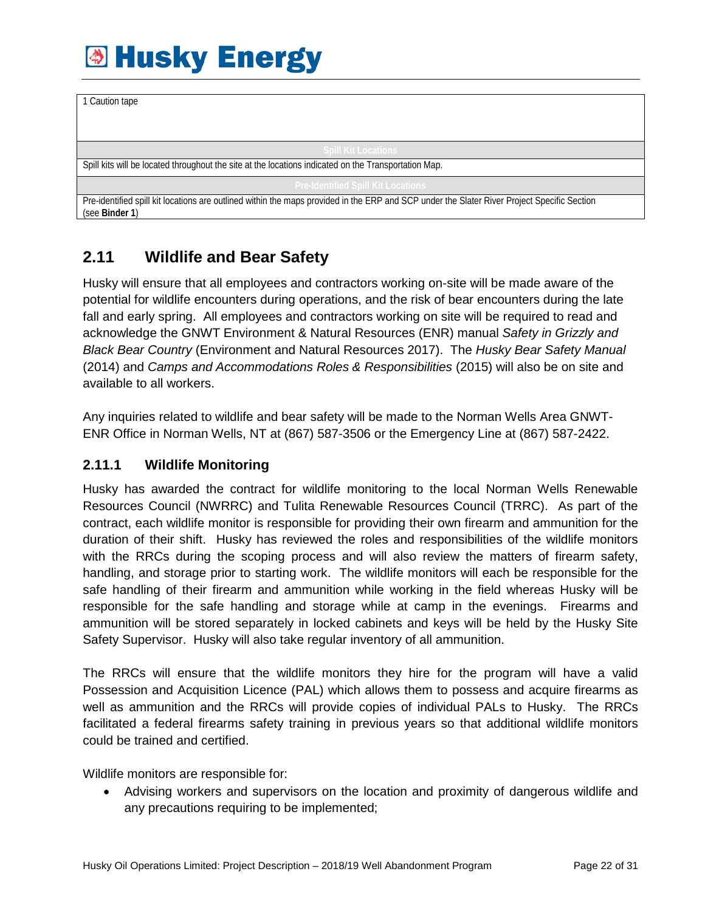| 1 Caution tape                                                                                                                              |
|---------------------------------------------------------------------------------------------------------------------------------------------|
|                                                                                                                                             |
|                                                                                                                                             |
|                                                                                                                                             |
|                                                                                                                                             |
| <b>Spill Kit Locations</b>                                                                                                                  |
|                                                                                                                                             |
| Spill kits will be located throughout the site at the locations indicated on the Transportation Map.                                        |
|                                                                                                                                             |
| <b>Pre-Identified Spill Kit Locations</b>                                                                                                   |
|                                                                                                                                             |
| Pre-identified spill kit locations are outlined within the maps provided in the ERP and SCP under the Slater River Project Specific Section |
| (see Binder 1)                                                                                                                              |
|                                                                                                                                             |

### <span id="page-21-0"></span>**2.11 Wildlife and Bear Safety**

Husky will ensure that all employees and contractors working on-site will be made aware of the potential for wildlife encounters during operations, and the risk of bear encounters during the late fall and early spring. All employees and contractors working on site will be required to read and acknowledge the GNWT Environment & Natural Resources (ENR) manual *Safety in Grizzly and Black Bear Country* (Environment and Natural Resources 2017). The *Husky Bear Safety Manual*  (2014) and *Camps and Accommodations Roles & Responsibilities* (2015) will also be on site and available to all workers.

Any inquiries related to wildlife and bear safety will be made to the Norman Wells Area GNWT-ENR Office in Norman Wells, NT at (867) 587-3506 or the Emergency Line at (867) 587-2422.

#### <span id="page-21-1"></span>**2.11.1 Wildlife Monitoring**

Husky has awarded the contract for wildlife monitoring to the local Norman Wells Renewable Resources Council (NWRRC) and Tulita Renewable Resources Council (TRRC). As part of the contract, each wildlife monitor is responsible for providing their own firearm and ammunition for the duration of their shift. Husky has reviewed the roles and responsibilities of the wildlife monitors with the RRCs during the scoping process and will also review the matters of firearm safety, handling, and storage prior to starting work. The wildlife monitors will each be responsible for the safe handling of their firearm and ammunition while working in the field whereas Husky will be responsible for the safe handling and storage while at camp in the evenings. Firearms and ammunition will be stored separately in locked cabinets and keys will be held by the Husky Site Safety Supervisor. Husky will also take regular inventory of all ammunition.

The RRCs will ensure that the wildlife monitors they hire for the program will have a valid Possession and Acquisition Licence (PAL) which allows them to possess and acquire firearms as well as ammunition and the RRCs will provide copies of individual PALs to Husky. The RRCs facilitated a federal firearms safety training in previous years so that additional wildlife monitors could be trained and certified.

Wildlife monitors are responsible for:

• Advising workers and supervisors on the location and proximity of dangerous wildlife and any precautions requiring to be implemented;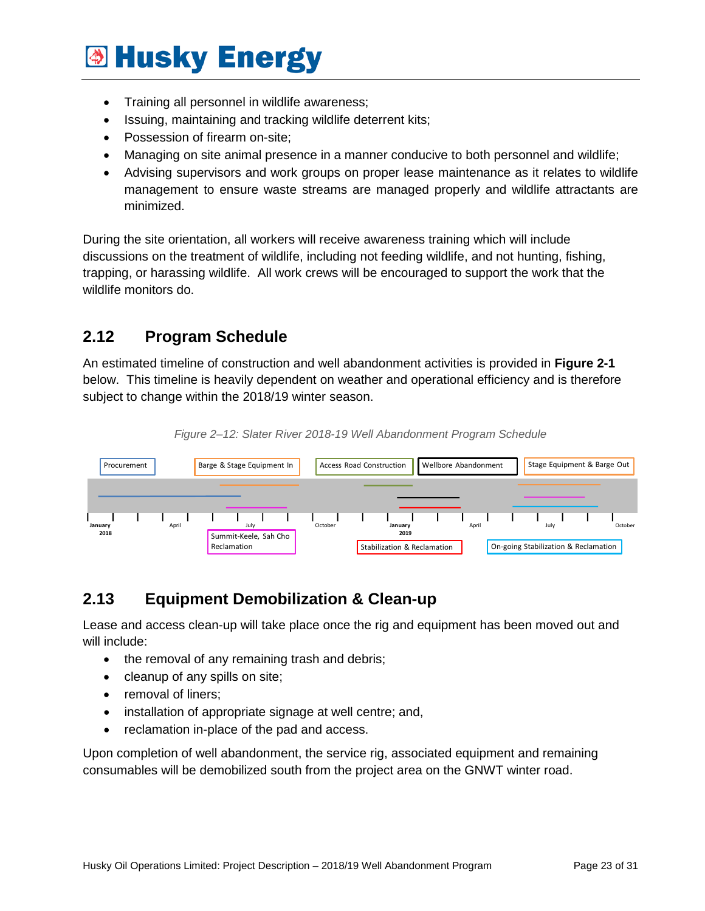- Training all personnel in wildlife awareness;
- Issuing, maintaining and tracking wildlife deterrent kits;
- Possession of firearm on-site;
- Managing on site animal presence in a manner conducive to both personnel and wildlife;
- Advising supervisors and work groups on proper lease maintenance as it relates to wildlife management to ensure waste streams are managed properly and wildlife attractants are minimized.

During the site orientation, all workers will receive awareness training which will include discussions on the treatment of wildlife, including not feeding wildlife, and not hunting, fishing, trapping, or harassing wildlife. All work crews will be encouraged to support the work that the wildlife monitors do.

### <span id="page-22-0"></span>**2.12 Program Schedule**

An estimated timeline of construction and well abandonment activities is provided in **Figure 2-1** below. This timeline is heavily dependent on weather and operational efficiency and is therefore subject to change within the 2018/19 winter season.

<span id="page-22-2"></span>

*Figure 2–12: Slater River 2018-19 Well Abandonment Program Schedule*

### <span id="page-22-1"></span>**2.13 Equipment Demobilization & Clean-up**

Lease and access clean-up will take place once the rig and equipment has been moved out and will include:

- the removal of any remaining trash and debris;
- cleanup of any spills on site;
- removal of liners;
- installation of appropriate signage at well centre; and,
- reclamation in-place of the pad and access.

Upon completion of well abandonment, the service rig, associated equipment and remaining consumables will be demobilized south from the project area on the GNWT winter road.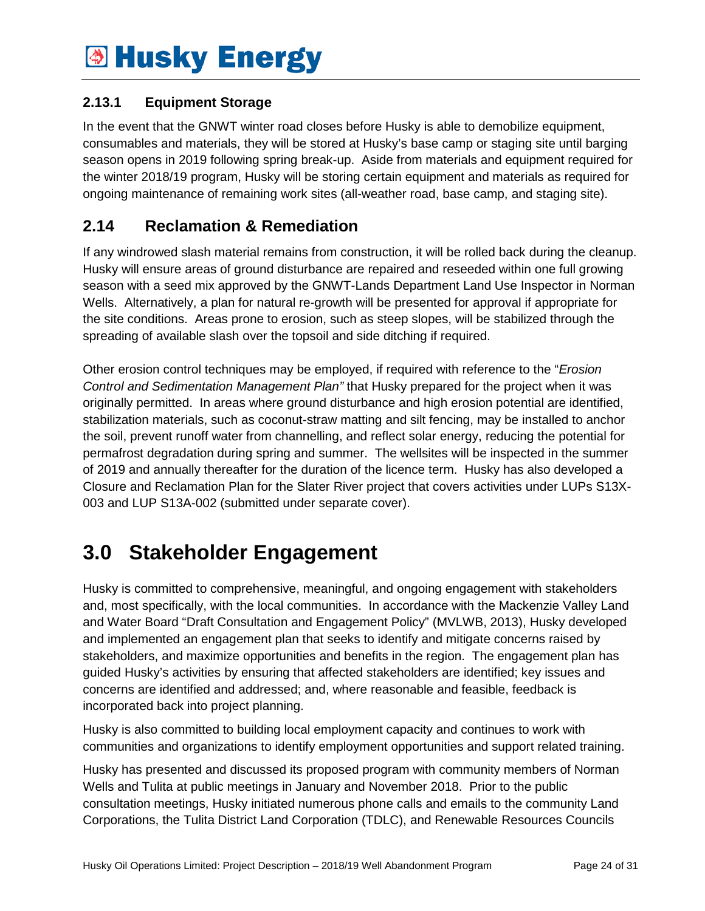#### <span id="page-23-0"></span>**2.13.1 Equipment Storage**

In the event that the GNWT winter road closes before Husky is able to demobilize equipment, consumables and materials, they will be stored at Husky's base camp or staging site until barging season opens in 2019 following spring break-up. Aside from materials and equipment required for the winter 2018/19 program, Husky will be storing certain equipment and materials as required for ongoing maintenance of remaining work sites (all-weather road, base camp, and staging site).

### <span id="page-23-1"></span>**2.14 Reclamation & Remediation**

If any windrowed slash material remains from construction, it will be rolled back during the cleanup. Husky will ensure areas of ground disturbance are repaired and reseeded within one full growing season with a seed mix approved by the GNWT-Lands Department Land Use Inspector in Norman Wells. Alternatively, a plan for natural re-growth will be presented for approval if appropriate for the site conditions. Areas prone to erosion, such as steep slopes, will be stabilized through the spreading of available slash over the topsoil and side ditching if required.

Other erosion control techniques may be employed, if required with reference to the "*Erosion Control and Sedimentation Management Plan"* that Husky prepared for the project when it was originally permitted. In areas where ground disturbance and high erosion potential are identified, stabilization materials, such as coconut-straw matting and silt fencing, may be installed to anchor the soil, prevent runoff water from channelling, and reflect solar energy, reducing the potential for permafrost degradation during spring and summer. The wellsites will be inspected in the summer of 2019 and annually thereafter for the duration of the licence term. Husky has also developed a Closure and Reclamation Plan for the Slater River project that covers activities under LUPs S13X-003 and LUP S13A-002 (submitted under separate cover).

### <span id="page-23-2"></span>**3.0 Stakeholder Engagement**

Husky is committed to comprehensive, meaningful, and ongoing engagement with stakeholders and, most specifically, with the local communities. In accordance with the Mackenzie Valley Land and Water Board "Draft Consultation and Engagement Policy" (MVLWB, 2013), Husky developed and implemented an engagement plan that seeks to identify and mitigate concerns raised by stakeholders, and maximize opportunities and benefits in the region. The engagement plan has guided Husky's activities by ensuring that affected stakeholders are identified; key issues and concerns are identified and addressed; and, where reasonable and feasible, feedback is incorporated back into project planning.

Husky is also committed to building local employment capacity and continues to work with communities and organizations to identify employment opportunities and support related training.

Husky has presented and discussed its proposed program with community members of Norman Wells and Tulita at public meetings in January and November 2018. Prior to the public consultation meetings, Husky initiated numerous phone calls and emails to the community Land Corporations, the Tulita District Land Corporation (TDLC), and Renewable Resources Councils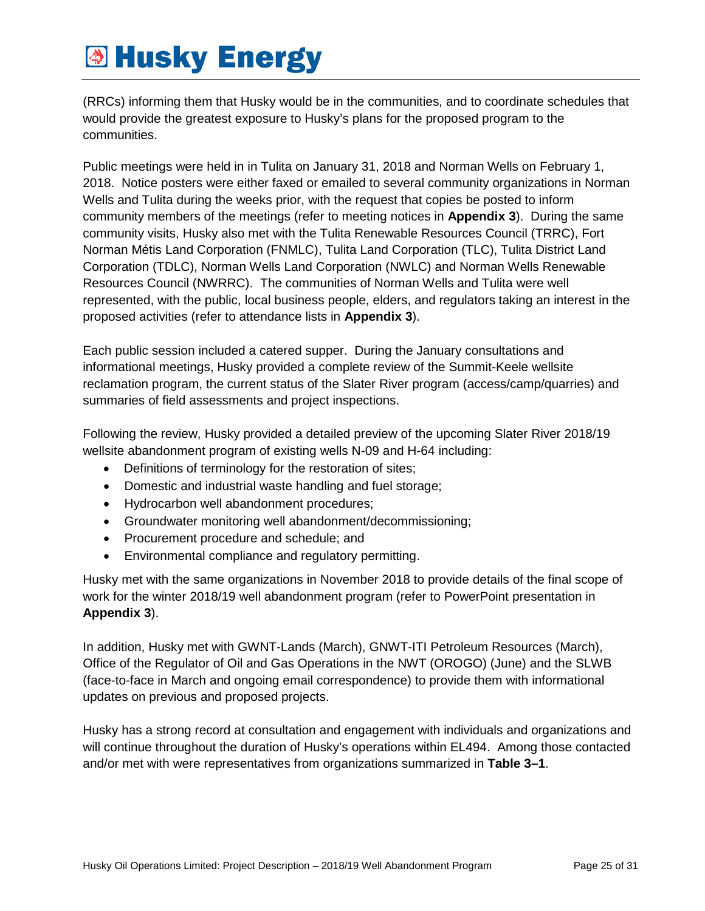(RRCs) informing them that Husky would be in the communities, and to coordinate schedules that would provide the greatest exposure to Husky's plans for the proposed program to the communities.

Public meetings were held in in Tulita on January 31, 2018 and Norman Wells on February 1, 2018. Notice posters were either faxed or emailed to several community organizations in Norman Wells and Tulita during the weeks prior, with the request that copies be posted to inform community members of the meetings (refer to meeting notices in **Appendix 3**). During the same community visits, Husky also met with the Tulita Renewable Resources Council (TRRC), Fort Norman Métis Land Corporation (FNMLC), Tulita Land Corporation (TLC), Tulita District Land Corporation (TDLC), Norman Wells Land Corporation (NWLC) and Norman Wells Renewable Resources Council (NWRRC). The communities of Norman Wells and Tulita were well represented, with the public, local business people, elders, and regulators taking an interest in the proposed activities (refer to attendance lists in **Appendix 3**).

Each public session included a catered supper. During the January consultations and informational meetings, Husky provided a complete review of the Summit-Keele wellsite reclamation program, the current status of the Slater River program (access/camp/quarries) and summaries of field assessments and project inspections.

Following the review, Husky provided a detailed preview of the upcoming Slater River 2018/19 wellsite abandonment program of existing wells N-09 and H-64 including:

- Definitions of terminology for the restoration of sites;
- Domestic and industrial waste handling and fuel storage;
- Hydrocarbon well abandonment procedures;
- Groundwater monitoring well abandonment/decommissioning;
- Procurement procedure and schedule; and
- Environmental compliance and regulatory permitting.

Husky met with the same organizations in November 2018 to provide details of the final scope of work for the winter 2018/19 well abandonment program (refer to PowerPoint presentation in **Appendix 3**).

In addition, Husky met with GWNT-Lands (March), GNWT-ITI Petroleum Resources (March), Office of the Regulator of Oil and Gas Operations in the NWT (OROGO) (June) and the SLWB (face-to-face in March and ongoing email correspondence) to provide them with informational updates on previous and proposed projects.

<span id="page-24-0"></span>Husky has a strong record at consultation and engagement with individuals and organizations and will continue throughout the duration of Husky's operations within EL494. Among those contacted and/or met with were representatives from organizations summarized in **[Table 3–1](#page-24-0)**.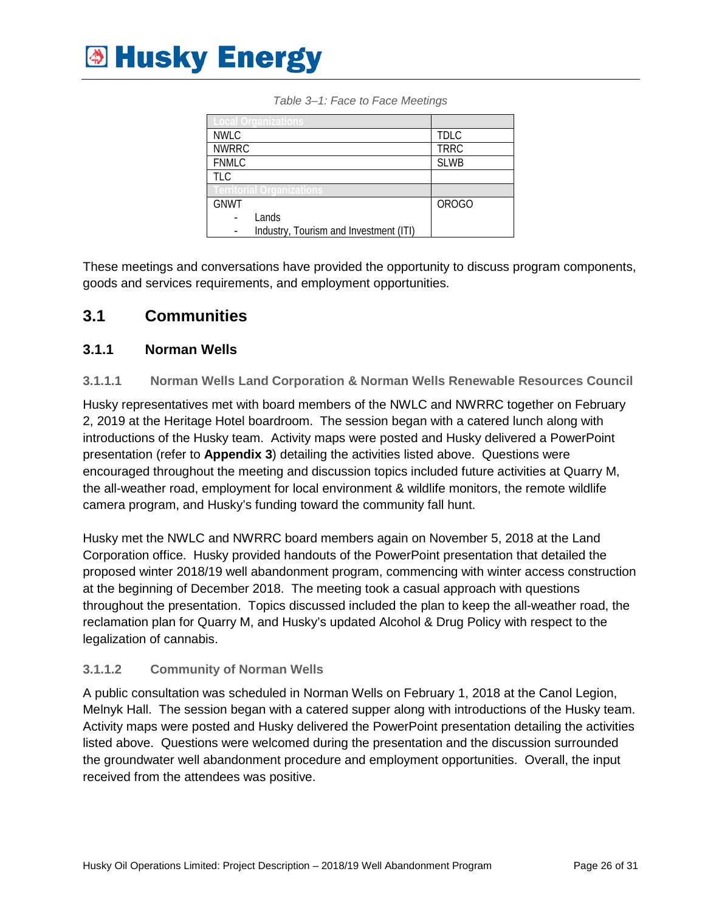<span id="page-25-2"></span>

|              | Local Organizations                    |              |
|--------------|----------------------------------------|--------------|
| <b>NWLC</b>  |                                        | <b>TDLC</b>  |
| <b>NWRRC</b> |                                        | <b>TRRC</b>  |
| <b>FNMLC</b> |                                        | <b>SLWB</b>  |
| <b>TLC</b>   |                                        |              |
|              | erritorial Organizations               |              |
| <b>GNWT</b>  |                                        | <b>OROGO</b> |
|              | Lands                                  |              |
|              | Industry, Tourism and Investment (ITI) |              |

*Table 3–1: Face to Face Meetings*

These meetings and conversations have provided the opportunity to discuss program components, goods and services requirements, and employment opportunities.

#### <span id="page-25-0"></span>**3.1 Communities**

#### <span id="page-25-1"></span>**3.1.1 Norman Wells**

#### **3.1.1.1 Norman Wells Land Corporation & Norman Wells Renewable Resources Council**

Husky representatives met with board members of the NWLC and NWRRC together on February 2, 2019 at the Heritage Hotel boardroom. The session began with a catered lunch along with introductions of the Husky team. Activity maps were posted and Husky delivered a PowerPoint presentation (refer to **Appendix 3**) detailing the activities listed above. Questions were encouraged throughout the meeting and discussion topics included future activities at Quarry M, the all-weather road, employment for local environment & wildlife monitors, the remote wildlife camera program, and Husky's funding toward the community fall hunt.

Husky met the NWLC and NWRRC board members again on November 5, 2018 at the Land Corporation office. Husky provided handouts of the PowerPoint presentation that detailed the proposed winter 2018/19 well abandonment program, commencing with winter access construction at the beginning of December 2018. The meeting took a casual approach with questions throughout the presentation. Topics discussed included the plan to keep the all-weather road, the reclamation plan for Quarry M, and Husky's updated Alcohol & Drug Policy with respect to the legalization of cannabis.

#### **3.1.1.2 Community of Norman Wells**

A public consultation was scheduled in Norman Wells on February 1, 2018 at the Canol Legion, Melnyk Hall. The session began with a catered supper along with introductions of the Husky team. Activity maps were posted and Husky delivered the PowerPoint presentation detailing the activities listed above. Questions were welcomed during the presentation and the discussion surrounded the groundwater well abandonment procedure and employment opportunities. Overall, the input received from the attendees was positive.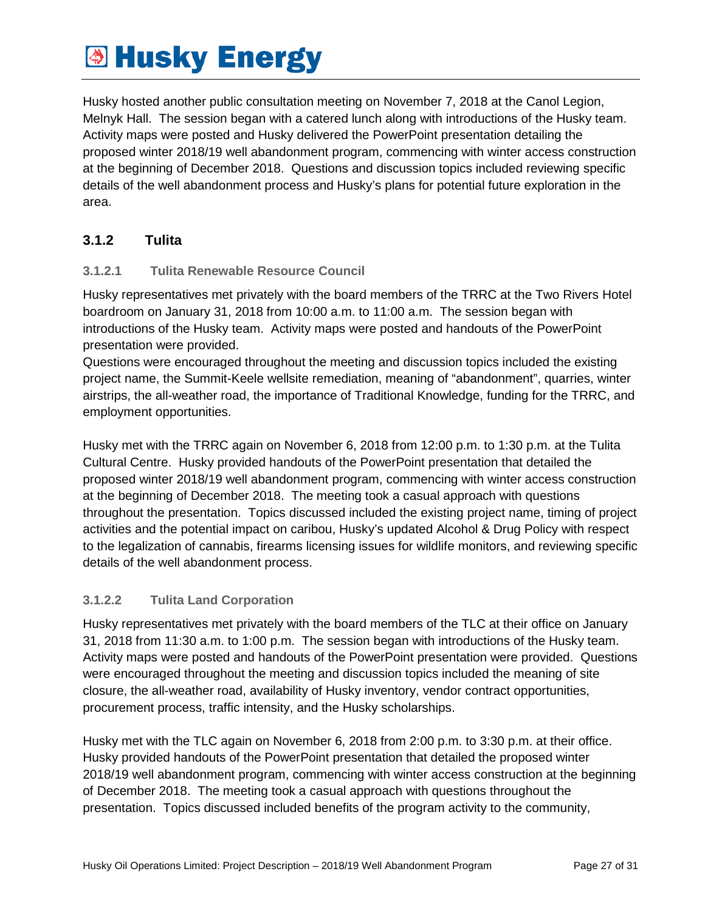Husky hosted another public consultation meeting on November 7, 2018 at the Canol Legion, Melnyk Hall. The session began with a catered lunch along with introductions of the Husky team. Activity maps were posted and Husky delivered the PowerPoint presentation detailing the proposed winter 2018/19 well abandonment program, commencing with winter access construction at the beginning of December 2018. Questions and discussion topics included reviewing specific details of the well abandonment process and Husky's plans for potential future exploration in the area.

#### <span id="page-26-0"></span>**3.1.2 Tulita**

#### **3.1.2.1 Tulita Renewable Resource Council**

Husky representatives met privately with the board members of the TRRC at the Two Rivers Hotel boardroom on January 31, 2018 from 10:00 a.m. to 11:00 a.m. The session began with introductions of the Husky team. Activity maps were posted and handouts of the PowerPoint presentation were provided.

Questions were encouraged throughout the meeting and discussion topics included the existing project name, the Summit-Keele wellsite remediation, meaning of "abandonment", quarries, winter airstrips, the all-weather road, the importance of Traditional Knowledge, funding for the TRRC, and employment opportunities.

Husky met with the TRRC again on November 6, 2018 from 12:00 p.m. to 1:30 p.m. at the Tulita Cultural Centre. Husky provided handouts of the PowerPoint presentation that detailed the proposed winter 2018/19 well abandonment program, commencing with winter access construction at the beginning of December 2018. The meeting took a casual approach with questions throughout the presentation. Topics discussed included the existing project name, timing of project activities and the potential impact on caribou, Husky's updated Alcohol & Drug Policy with respect to the legalization of cannabis, firearms licensing issues for wildlife monitors, and reviewing specific details of the well abandonment process.

#### **3.1.2.2 Tulita Land Corporation**

Husky representatives met privately with the board members of the TLC at their office on January 31, 2018 from 11:30 a.m. to 1:00 p.m. The session began with introductions of the Husky team. Activity maps were posted and handouts of the PowerPoint presentation were provided. Questions were encouraged throughout the meeting and discussion topics included the meaning of site closure, the all-weather road, availability of Husky inventory, vendor contract opportunities, procurement process, traffic intensity, and the Husky scholarships.

Husky met with the TLC again on November 6, 2018 from 2:00 p.m. to 3:30 p.m. at their office. Husky provided handouts of the PowerPoint presentation that detailed the proposed winter 2018/19 well abandonment program, commencing with winter access construction at the beginning of December 2018. The meeting took a casual approach with questions throughout the presentation. Topics discussed included benefits of the program activity to the community,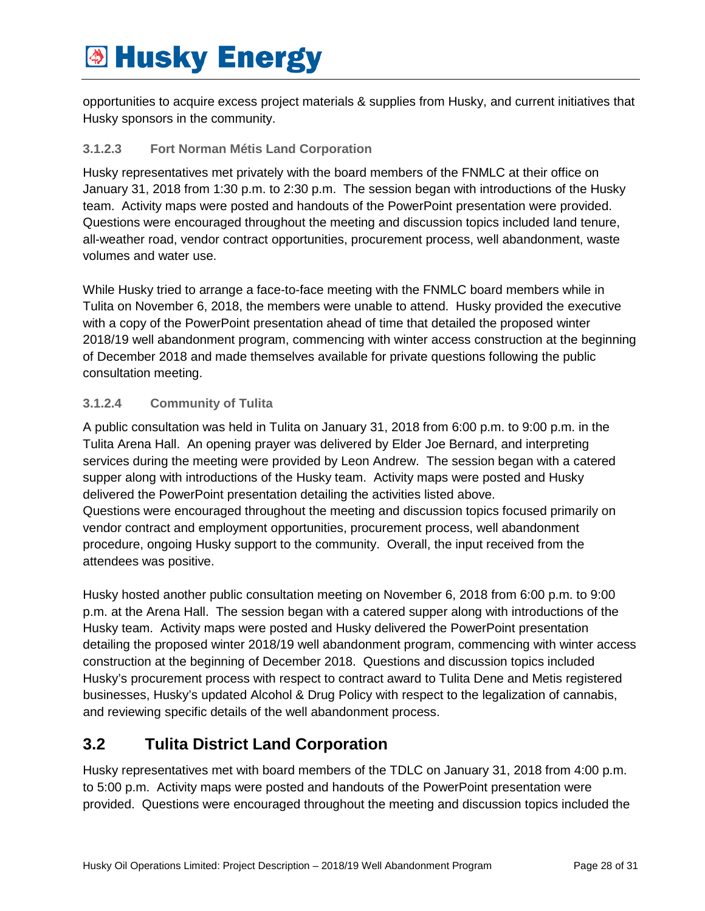opportunities to acquire excess project materials & supplies from Husky, and current initiatives that Husky sponsors in the community.

#### **3.1.2.3 Fort Norman Métis Land Corporation**

Husky representatives met privately with the board members of the FNMLC at their office on January 31, 2018 from 1:30 p.m. to 2:30 p.m. The session began with introductions of the Husky team. Activity maps were posted and handouts of the PowerPoint presentation were provided. Questions were encouraged throughout the meeting and discussion topics included land tenure, all-weather road, vendor contract opportunities, procurement process, well abandonment, waste volumes and water use.

While Husky tried to arrange a face-to-face meeting with the FNMLC board members while in Tulita on November 6, 2018, the members were unable to attend. Husky provided the executive with a copy of the PowerPoint presentation ahead of time that detailed the proposed winter 2018/19 well abandonment program, commencing with winter access construction at the beginning of December 2018 and made themselves available for private questions following the public consultation meeting.

#### **3.1.2.4 Community of Tulita**

A public consultation was held in Tulita on January 31, 2018 from 6:00 p.m. to 9:00 p.m. in the Tulita Arena Hall. An opening prayer was delivered by Elder Joe Bernard, and interpreting services during the meeting were provided by Leon Andrew. The session began with a catered supper along with introductions of the Husky team. Activity maps were posted and Husky delivered the PowerPoint presentation detailing the activities listed above. Questions were encouraged throughout the meeting and discussion topics focused primarily on vendor contract and employment opportunities, procurement process, well abandonment procedure, ongoing Husky support to the community. Overall, the input received from the attendees was positive.

Husky hosted another public consultation meeting on November 6, 2018 from 6:00 p.m. to 9:00 p.m. at the Arena Hall. The session began with a catered supper along with introductions of the Husky team. Activity maps were posted and Husky delivered the PowerPoint presentation detailing the proposed winter 2018/19 well abandonment program, commencing with winter access construction at the beginning of December 2018. Questions and discussion topics included Husky's procurement process with respect to contract award to Tulita Dene and Metis registered businesses, Husky's updated Alcohol & Drug Policy with respect to the legalization of cannabis, and reviewing specific details of the well abandonment process.

### <span id="page-27-0"></span>**3.2 Tulita District Land Corporation**

Husky representatives met with board members of the TDLC on January 31, 2018 from 4:00 p.m. to 5:00 p.m. Activity maps were posted and handouts of the PowerPoint presentation were provided. Questions were encouraged throughout the meeting and discussion topics included the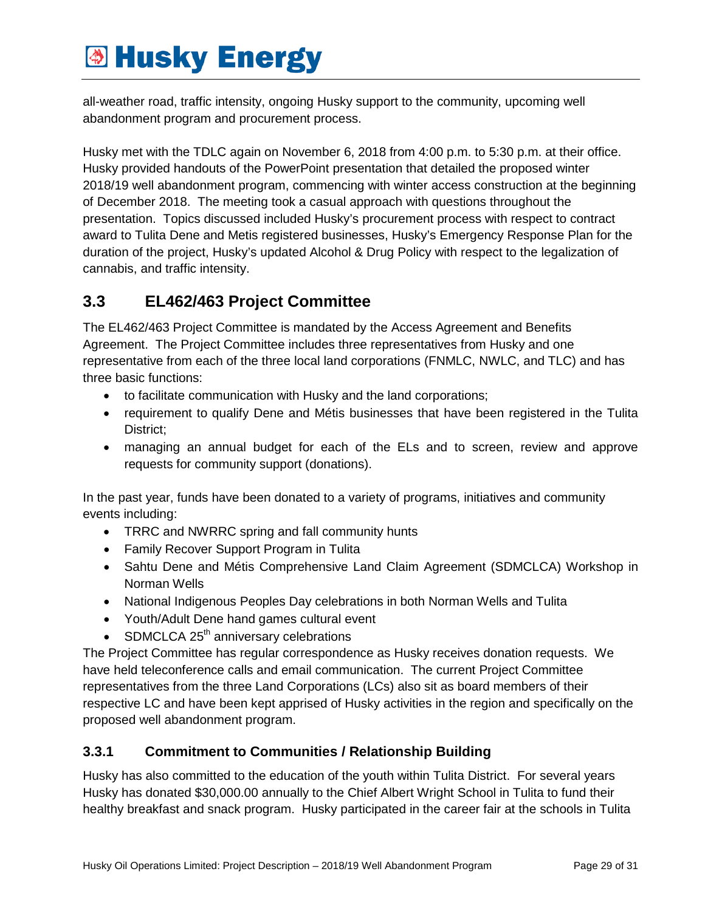all-weather road, traffic intensity, ongoing Husky support to the community, upcoming well abandonment program and procurement process.

Husky met with the TDLC again on November 6, 2018 from 4:00 p.m. to 5:30 p.m. at their office. Husky provided handouts of the PowerPoint presentation that detailed the proposed winter 2018/19 well abandonment program, commencing with winter access construction at the beginning of December 2018. The meeting took a casual approach with questions throughout the presentation. Topics discussed included Husky's procurement process with respect to contract award to Tulita Dene and Metis registered businesses, Husky's Emergency Response Plan for the duration of the project, Husky's updated Alcohol & Drug Policy with respect to the legalization of cannabis, and traffic intensity.

### <span id="page-28-0"></span>**3.3 EL462/463 Project Committee**

The EL462/463 Project Committee is mandated by the Access Agreement and Benefits Agreement. The Project Committee includes three representatives from Husky and one representative from each of the three local land corporations (FNMLC, NWLC, and TLC) and has three basic functions:

- to facilitate communication with Husky and the land corporations;
- requirement to qualify Dene and Métis businesses that have been registered in the Tulita District;
- managing an annual budget for each of the ELs and to screen, review and approve requests for community support (donations).

In the past year, funds have been donated to a variety of programs, initiatives and community events including:

- TRRC and NWRRC spring and fall community hunts
- Family Recover Support Program in Tulita
- Sahtu Dene and Métis Comprehensive Land Claim Agreement (SDMCLCA) Workshop in Norman Wells
- National Indigenous Peoples Day celebrations in both Norman Wells and Tulita
- Youth/Adult Dene hand games cultural event
- SDMCLCA  $25<sup>th</sup>$  anniversary celebrations

The Project Committee has regular correspondence as Husky receives donation requests. We have held teleconference calls and email communication. The current Project Committee representatives from the three Land Corporations (LCs) also sit as board members of their respective LC and have been kept apprised of Husky activities in the region and specifically on the proposed well abandonment program.

#### <span id="page-28-1"></span>**3.3.1 Commitment to Communities / Relationship Building**

Husky has also committed to the education of the youth within Tulita District. For several years Husky has donated \$30,000.00 annually to the Chief Albert Wright School in Tulita to fund their healthy breakfast and snack program. Husky participated in the career fair at the schools in Tulita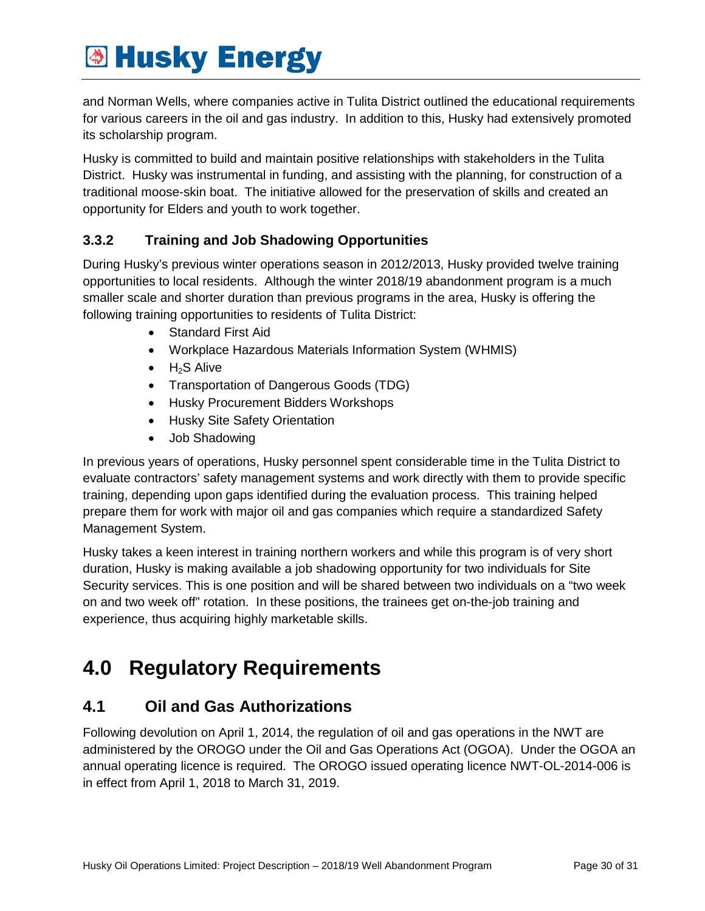and Norman Wells, where companies active in Tulita District outlined the educational requirements for various careers in the oil and gas industry. In addition to this, Husky had extensively promoted its scholarship program.

Husky is committed to build and maintain positive relationships with stakeholders in the Tulita District. Husky was instrumental in funding, and assisting with the planning, for construction of a traditional moose-skin boat. The initiative allowed for the preservation of skills and created an opportunity for Elders and youth to work together.

#### <span id="page-29-0"></span>**3.3.2 Training and Job Shadowing Opportunities**

During Husky's previous winter operations season in 2012/2013, Husky provided twelve training opportunities to local residents. Although the winter 2018/19 abandonment program is a much smaller scale and shorter duration than previous programs in the area, Husky is offering the following training opportunities to residents of Tulita District:

- Standard First Aid
- Workplace Hazardous Materials Information System (WHMIS)
- $\bullet$  H<sub>2</sub>S Alive
- Transportation of Dangerous Goods (TDG)
- Husky Procurement Bidders Workshops
- Husky Site Safety Orientation
- Job Shadowing

In previous years of operations, Husky personnel spent considerable time in the Tulita District to evaluate contractors' safety management systems and work directly with them to provide specific training, depending upon gaps identified during the evaluation process. This training helped prepare them for work with major oil and gas companies which require a standardized Safety Management System.

Husky takes a keen interest in training northern workers and while this program is of very short duration, Husky is making available a job shadowing opportunity for two individuals for Site Security services. This is one position and will be shared between two individuals on a "two week on and two week off" rotation. In these positions, the trainees get on-the-job training and experience, thus acquiring highly marketable skills.

## <span id="page-29-1"></span>**4.0 Regulatory Requirements**

### <span id="page-29-2"></span>**4.1 Oil and Gas Authorizations**

Following devolution on April 1, 2014, the regulation of oil and gas operations in the NWT are administered by the OROGO under the Oil and Gas Operations Act (OGOA). Under the OGOA an annual operating licence is required. The OROGO issued operating licence NWT-OL-2014-006 is in effect from April 1, 2018 to March 31, 2019.